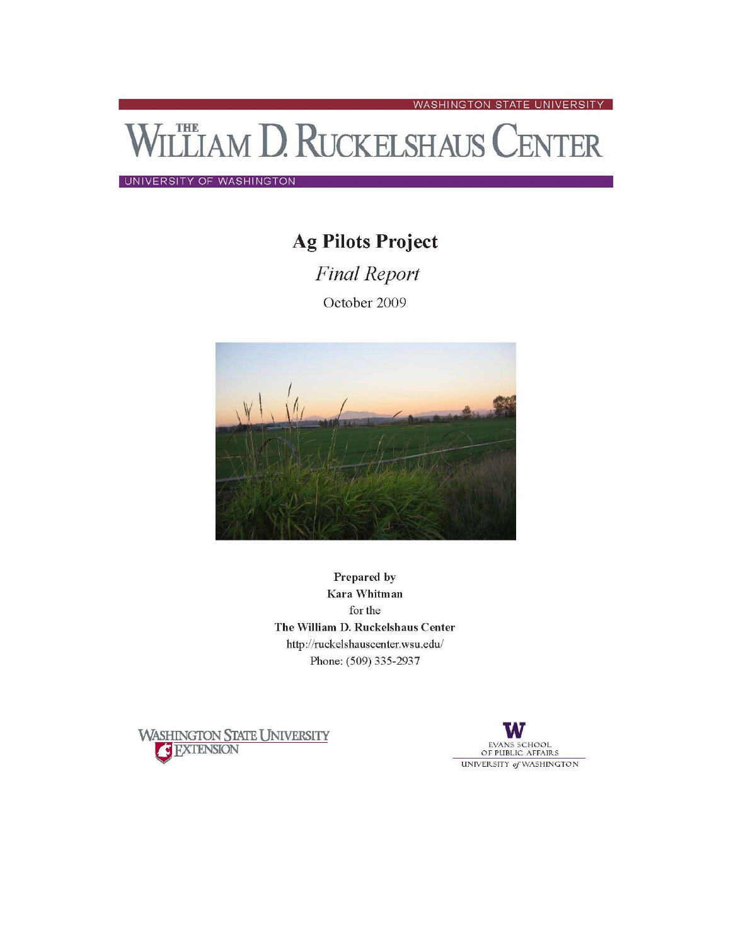**LETAM D. RUCKELSHAUS CENTER** 

UNIVERSITY OF WASHINGTON

# **Ag Pilots Project**

**Final Report** October 2009



Prepared by Kara Whitman for the The William D. Ruckelshaus Center http://ruckelshauscenter.wsu.edu/ Phone: (509) 335-2937





WASHINGTON STATE UNIVERSITY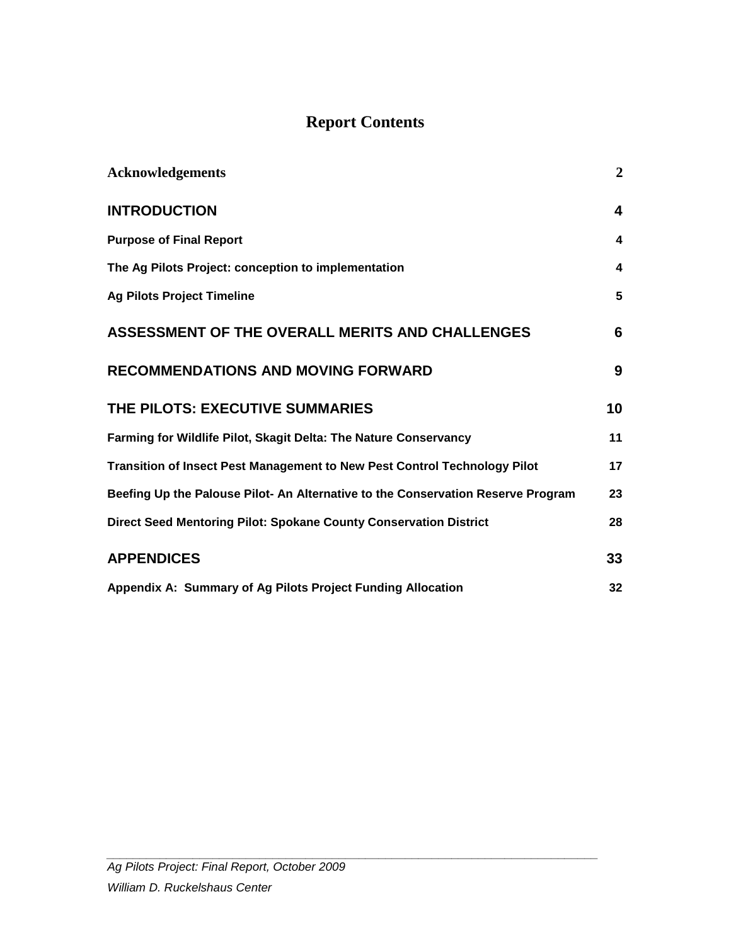# **Report Contents**

| <b>Acknowledgements</b>                                                          | $\overline{2}$ |
|----------------------------------------------------------------------------------|----------------|
| <b>INTRODUCTION</b>                                                              | 4              |
| <b>Purpose of Final Report</b>                                                   | 4              |
| The Ag Pilots Project: conception to implementation                              | 4              |
| <b>Ag Pilots Project Timeline</b>                                                | 5              |
| ASSESSMENT OF THE OVERALL MERITS AND CHALLENGES                                  | 6              |
| <b>RECOMMENDATIONS AND MOVING FORWARD</b>                                        | 9              |
| THE PILOTS: EXECUTIVE SUMMARIES                                                  | 10             |
| Farming for Wildlife Pilot, Skagit Delta: The Nature Conservancy                 | 11             |
| Transition of Insect Pest Management to New Pest Control Technology Pilot        | 17             |
| Beefing Up the Palouse Pilot- An Alternative to the Conservation Reserve Program | 23             |
| Direct Seed Mentoring Pilot: Spokane County Conservation District                | 28             |
| <b>APPENDICES</b>                                                                | 33             |
| Appendix A: Summary of Ag Pilots Project Funding Allocation                      | 32             |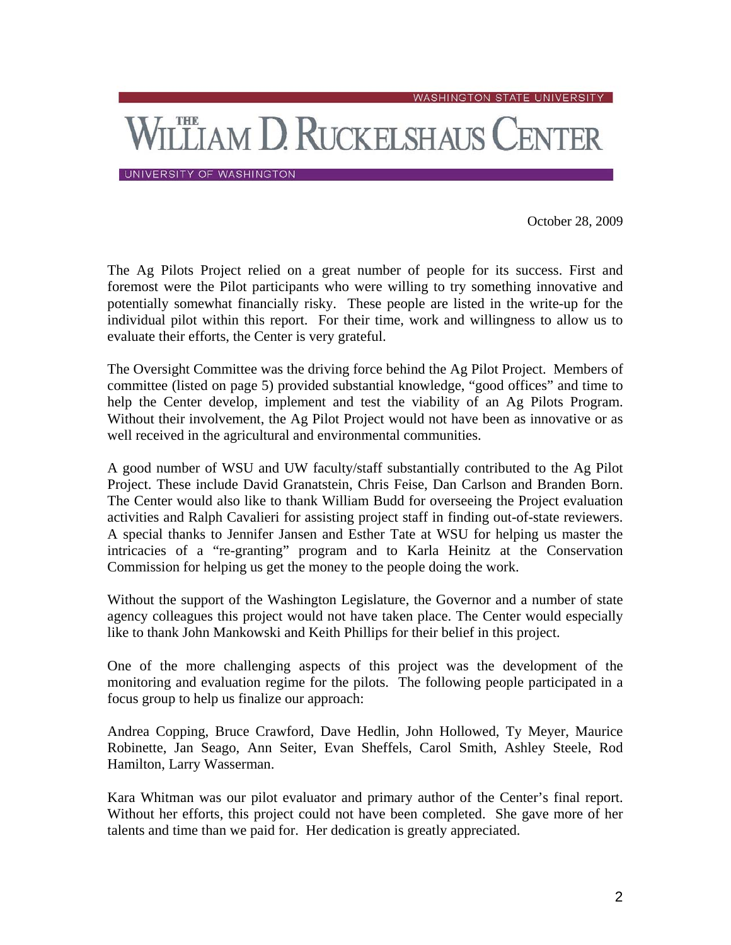WASHINGTON STATE UNIVERSITY

# **LETAM D. RUCKELSHAUS CENTER**

UNIVERSITY OF WASHINGTON

October 28, 2009

The Ag Pilots Project relied on a great number of people for its success. First and foremost were the Pilot participants who were willing to try something innovative and potentially somewhat financially risky. These people are listed in the write-up for the individual pilot within this report. For their time, work and willingness to allow us to evaluate their efforts, the Center is very grateful.

The Oversight Committee was the driving force behind the Ag Pilot Project. Members of committee (listed on page 5) provided substantial knowledge, "good offices" and time to help the Center develop, implement and test the viability of an Ag Pilots Program. Without their involvement, the Ag Pilot Project would not have been as innovative or as well received in the agricultural and environmental communities.

A good number of WSU and UW faculty/staff substantially contributed to the Ag Pilot Project. These include David Granatstein, Chris Feise, Dan Carlson and Branden Born. The Center would also like to thank William Budd for overseeing the Project evaluation activities and Ralph Cavalieri for assisting project staff in finding out-of-state reviewers. A special thanks to Jennifer Jansen and Esther Tate at WSU for helping us master the intricacies of a "re-granting" program and to Karla Heinitz at the Conservation Commission for helping us get the money to the people doing the work.

Without the support of the Washington Legislature, the Governor and a number of state agency colleagues this project would not have taken place. The Center would especially like to thank John Mankowski and Keith Phillips for their belief in this project.

One of the more challenging aspects of this project was the development of the monitoring and evaluation regime for the pilots. The following people participated in a focus group to help us finalize our approach:

Andrea Copping, Bruce Crawford, Dave Hedlin, John Hollowed, Ty Meyer, Maurice Robinette, Jan Seago, Ann Seiter, Evan Sheffels, Carol Smith, Ashley Steele, Rod Hamilton, Larry Wasserman.

Kara Whitman was our pilot evaluator and primary author of the Center's final report. Without her efforts, this project could not have been completed. She gave more of her talents and time than we paid for. Her dedication is greatly appreciated.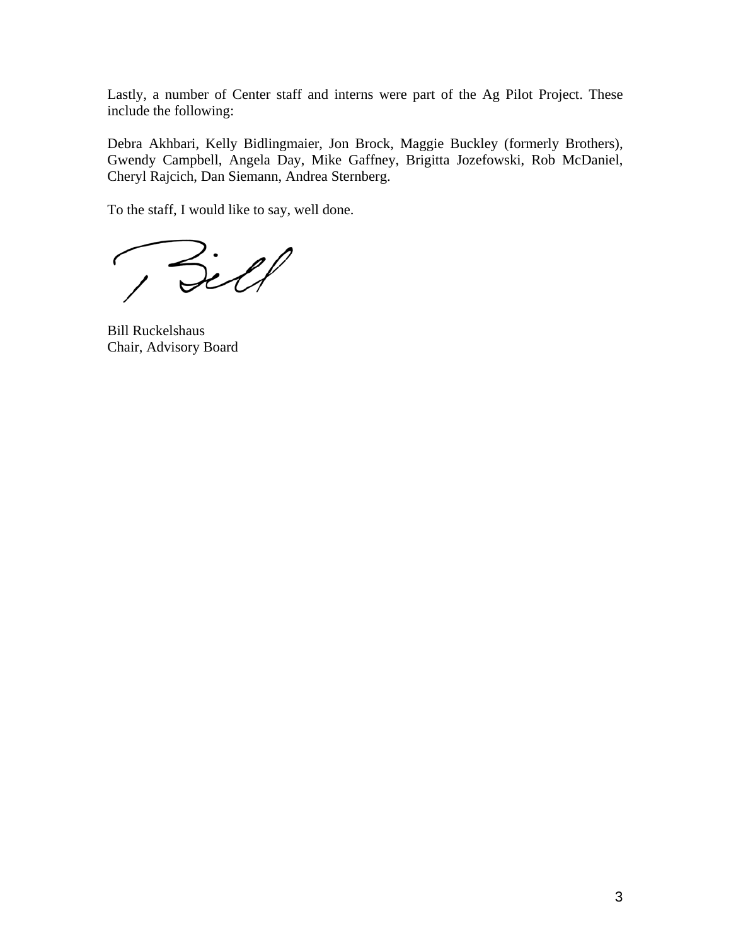Lastly, a number of Center staff and interns were part of the Ag Pilot Project. These include the following:

Debra Akhbari, Kelly Bidlingmaier, Jon Brock, Maggie Buckley (formerly Brothers), Gwendy Campbell, Angela Day, Mike Gaffney, Brigitta Jozefowski, Rob McDaniel, Cheryl Rajcich, Dan Siemann, Andrea Sternberg.

To the staff, I would like to say, well done.

Bill  $\epsilon$ 

Bill Ruckelshaus Chair, Advisory Board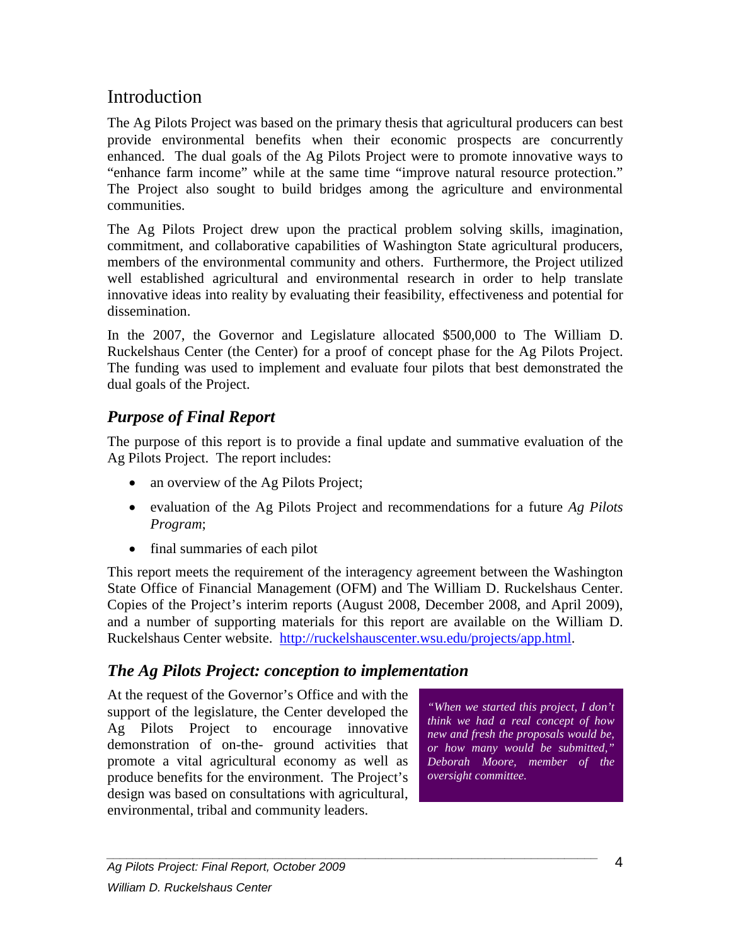# **Introduction**

The Ag Pilots Project was based on the primary thesis that agricultural producers can best provide environmental benefits when their economic prospects are concurrently enhanced. The dual goals of the Ag Pilots Project were to promote innovative ways to "enhance farm income" while at the same time "improve natural resource protection." The Project also sought to build bridges among the agriculture and environmental communities.

The Ag Pilots Project drew upon the practical problem solving skills, imagination, commitment, and collaborative capabilities of Washington State agricultural producers, members of the environmental community and others. Furthermore, the Project utilized well established agricultural and environmental research in order to help translate innovative ideas into reality by evaluating their feasibility, effectiveness and potential for dissemination.

In the 2007, the Governor and Legislature allocated \$500,000 to The William D. Ruckelshaus Center (the Center) for a proof of concept phase for the Ag Pilots Project. The funding was used to implement and evaluate four pilots that best demonstrated the dual goals of the Project.

# <span id="page-4-0"></span>*Purpose of Final Report*

The purpose of this report is to provide a final update and summative evaluation of the Ag Pilots Project. The report includes:

- an overview of the Ag Pilots Project;
- evaluation of the Ag Pilots Project and recommendations for a future *Ag Pilots Program*;
- final summaries of each pilot

This report meets the requirement of the interagency agreement between the Washington State Office of Financial Management (OFM) and The William D. Ruckelshaus Center. Copies of the Project's interim reports (August 2008, December 2008, and April 2009), and a number of supporting materials for this report are available on the William D. Ruckelshaus Center website. [http://ruckelshauscenter.wsu.edu/projects/app.html.](http://ruckelshauscenter.wsu.edu/projects/app.html)

# <span id="page-4-1"></span>*The Ag Pilots Project: conception to implementation*

At the request of the Governor's Office and with the support of the legislature, the Center developed the Ag Pilots Project to encourage innovative demonstration of on-the- ground activities that promote a vital agricultural economy as well as produce benefits for the environment. The Project's design was based on consultations with agricultural, environmental, tribal and community leaders.

*"When we started this project, I don't think we had a real concept of how new and fresh the proposals would be, or how many would be submitted," Deborah Moore, member of the oversight committee.*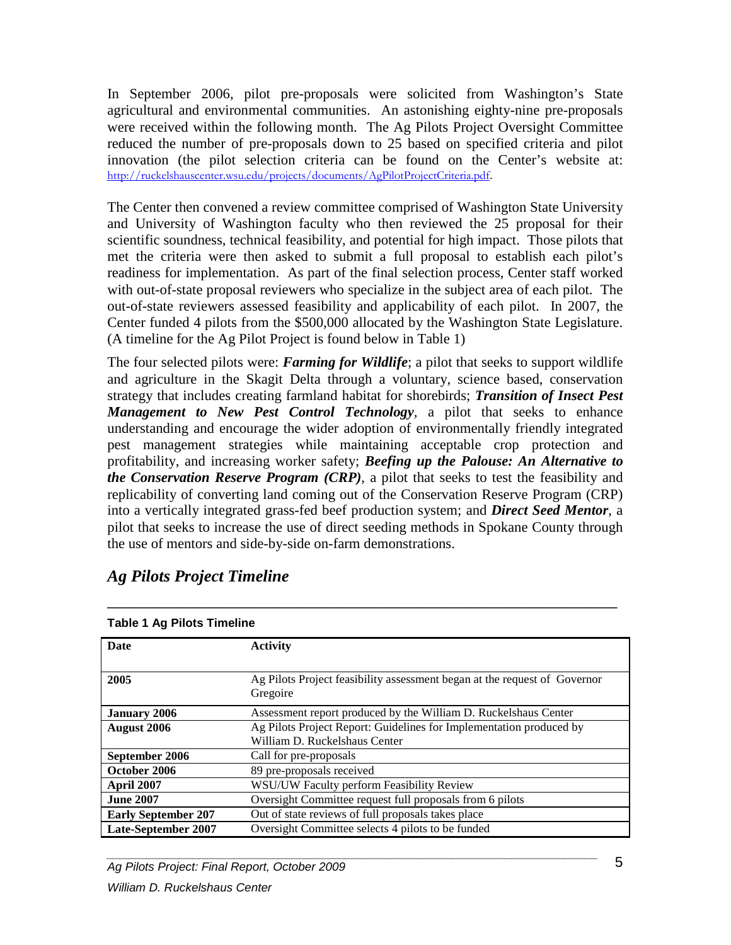In September 2006, pilot pre-proposals were solicited from Washington's State agricultural and environmental communities. An astonishing eighty-nine pre-proposals were received within the following month. The Ag Pilots Project Oversight Committee reduced the number of pre-proposals down to 25 based on specified criteria and pilot innovation (the pilot selection criteria can be found on the Center's website at: [http://ruckelshauscenter.wsu.edu/projects/documents/AgPilotProjectCriteria.pdf](https://connect.wsu.edu/exchweb/bin/redir.asp?URL=http://ruckelshauscenter.wsu.edu/projects/documents/AgPilotProjectCriteria.pdf).

The Center then convened a review committee comprised of Washington State University and University of Washington faculty who then reviewed the 25 proposal for their scientific soundness, technical feasibility, and potential for high impact. Those pilots that met the criteria were then asked to submit a full proposal to establish each pilot's readiness for implementation. As part of the final selection process, Center staff worked with out-of-state proposal reviewers who specialize in the subject area of each pilot. The out-of-state reviewers assessed feasibility and applicability of each pilot. In 2007, the Center funded 4 pilots from the \$500,000 allocated by the Washington State Legislature. (A timeline for the Ag Pilot Project is found below in Table 1)

The four selected pilots were: *Farming for Wildlife*; a pilot that seeks to support wildlife and agriculture in the Skagit Delta through a voluntary, science based, conservation strategy that includes creating farmland habitat for shorebirds; *Transition of Insect Pest Management to New Pest Control Technology,* a pilot that seeks to enhance understanding and encourage the wider adoption of environmentally friendly integrated pest management strategies while maintaining acceptable crop protection and profitability, and increasing worker safety; *Beefing up the Palouse: An Alternative to the Conservation Reserve Program (CRP)*, a pilot that seeks to test the feasibility and replicability of converting land coming out of the Conservation Reserve Program (CRP) into a vertically integrated grass-fed beef production system; and *Direct Seed Mentor*, a pilot that seeks to increase the use of direct seeding methods in Spokane County through the use of mentors and side-by-side on-farm demonstrations.

| Table T Ay Filots Timeline |                                                                           |  |
|----------------------------|---------------------------------------------------------------------------|--|
| Date                       | <b>Activity</b>                                                           |  |
|                            |                                                                           |  |
| 2005                       | Ag Pilots Project feasibility assessment began at the request of Governor |  |
|                            | Gregoire                                                                  |  |
| <b>January 2006</b>        | Assessment report produced by the William D. Ruckelshaus Center           |  |
| August 2006                | Ag Pilots Project Report: Guidelines for Implementation produced by       |  |
|                            | William D. Ruckelshaus Center                                             |  |
| September 2006             | Call for pre-proposals                                                    |  |
| October 2006               | 89 pre-proposals received                                                 |  |
| April 2007                 | WSU/UW Faculty perform Feasibility Review                                 |  |
| <b>June 2007</b>           | Oversight Committee request full proposals from 6 pilots                  |  |
| <b>Early September 207</b> | Out of state reviews of full proposals takes place                        |  |
| <b>Late-September 2007</b> | Oversight Committee selects 4 pilots to be funded                         |  |

\_\_\_\_\_\_\_\_\_\_\_\_\_\_\_\_\_\_\_\_\_\_\_\_\_\_\_\_\_\_\_\_\_\_\_\_\_\_\_\_\_\_\_\_\_\_\_\_\_\_\_\_\_\_\_\_\_\_\_\_\_\_\_\_

# <span id="page-5-0"></span>*Ag Pilots Project Timeline*

#### **Table 1 Ag Pilots Timeline**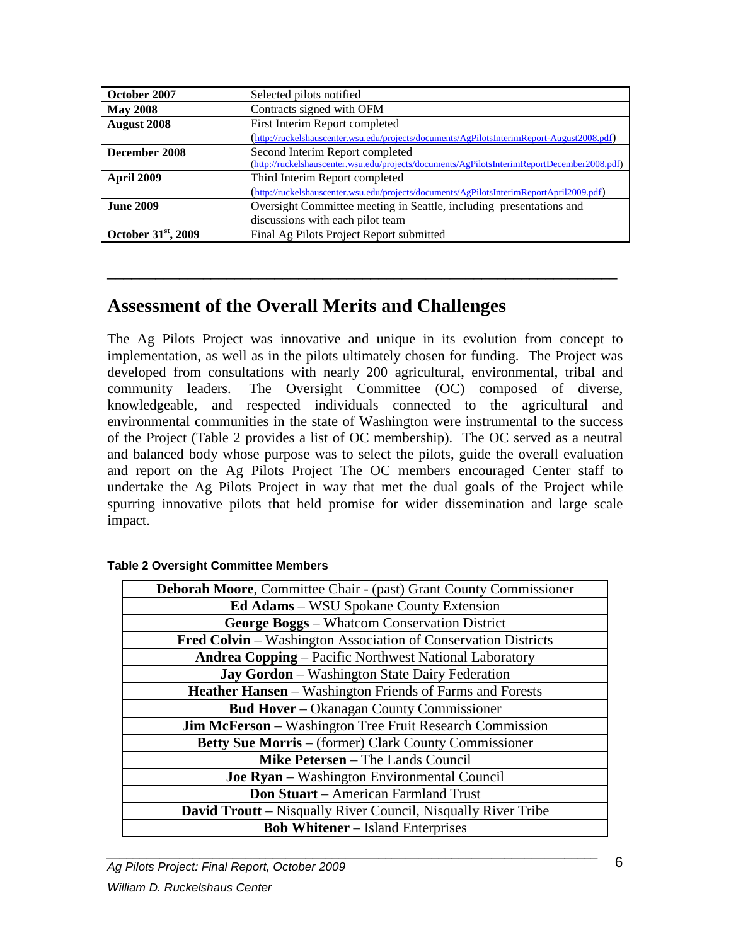| October 2007                    | Selected pilots notified                                                                    |  |
|---------------------------------|---------------------------------------------------------------------------------------------|--|
| <b>May 2008</b>                 | Contracts signed with OFM                                                                   |  |
| <b>August 2008</b>              | First Interim Report completed                                                              |  |
|                                 | (http://ruckelshauscenter.wsu.edu/projects/documents/AgPilotsInterimReport-August2008.pdf)  |  |
| December 2008                   | Second Interim Report completed                                                             |  |
|                                 | (http://ruckelshauscenter.wsu.edu/projects/documents/AgPilotsInterimReportDecember2008.pdf) |  |
| <b>April 2009</b>               | Third Interim Report completed                                                              |  |
|                                 | (http://ruckelshauscenter.wsu.edu/projects/documents/AgPilotsInterimReportApril2009.pdf)    |  |
| <b>June 2009</b>                | Oversight Committee meeting in Seattle, including presentations and                         |  |
|                                 | discussions with each pilot team                                                            |  |
| October 31 <sup>st</sup> , 2009 | Final Ag Pilots Project Report submitted                                                    |  |

\_\_\_\_\_\_\_\_\_\_\_\_\_\_\_\_\_\_\_\_\_\_\_\_\_\_\_\_\_\_\_\_\_\_\_\_\_\_\_\_\_\_\_\_\_\_\_\_\_\_\_\_\_\_\_\_\_\_\_\_\_\_\_\_

# <span id="page-6-0"></span>**Assessment of the Overall Merits and Challenges**

The Ag Pilots Project was innovative and unique in its evolution from concept to implementation, as well as in the pilots ultimately chosen for funding. The Project was developed from consultations with nearly 200 agricultural, environmental, tribal and community leaders. The Oversight Committee (OC) composed of diverse, knowledgeable, and respected individuals connected to the agricultural and environmental communities in the state of Washington were instrumental to the success of the Project (Table 2 provides a list of OC membership). The OC served as a neutral and balanced body whose purpose was to select the pilots, guide the overall evaluation and report on the Ag Pilots Project The OC members encouraged Center staff to undertake the Ag Pilots Project in way that met the dual goals of the Project while spurring innovative pilots that held promise for wider dissemination and large scale impact.

| <b>Deborah Moore, Committee Chair - (past) Grant County Commissioner</b> |  |  |
|--------------------------------------------------------------------------|--|--|
| <b>Ed Adams</b> – WSU Spokane County Extension                           |  |  |
| George Boggs - Whatcom Conservation District                             |  |  |
| Fred Colvin - Washington Association of Conservation Districts           |  |  |
| <b>Andrea Copping - Pacific Northwest National Laboratory</b>            |  |  |
| <b>Jay Gordon</b> – Washington State Dairy Federation                    |  |  |
| <b>Heather Hansen</b> – Washington Friends of Farms and Forests          |  |  |
| <b>Bud Hover</b> - Okanagan County Commissioner                          |  |  |
| <b>Jim McFerson</b> – Washington Tree Fruit Research Commission          |  |  |
| <b>Betty Sue Morris</b> – (former) Clark County Commissioner             |  |  |
| <b>Mike Petersen</b> – The Lands Council                                 |  |  |
| <b>Joe Ryan</b> – Washington Environmental Council                       |  |  |
| <b>Don Stuart</b> – American Farmland Trust                              |  |  |
| <b>David Troutt</b> – Nisqually River Council, Nisqually River Tribe     |  |  |
| <b>Bob Whitener</b> – Island Enterprises                                 |  |  |

#### **Table 2 Oversight Committee Members**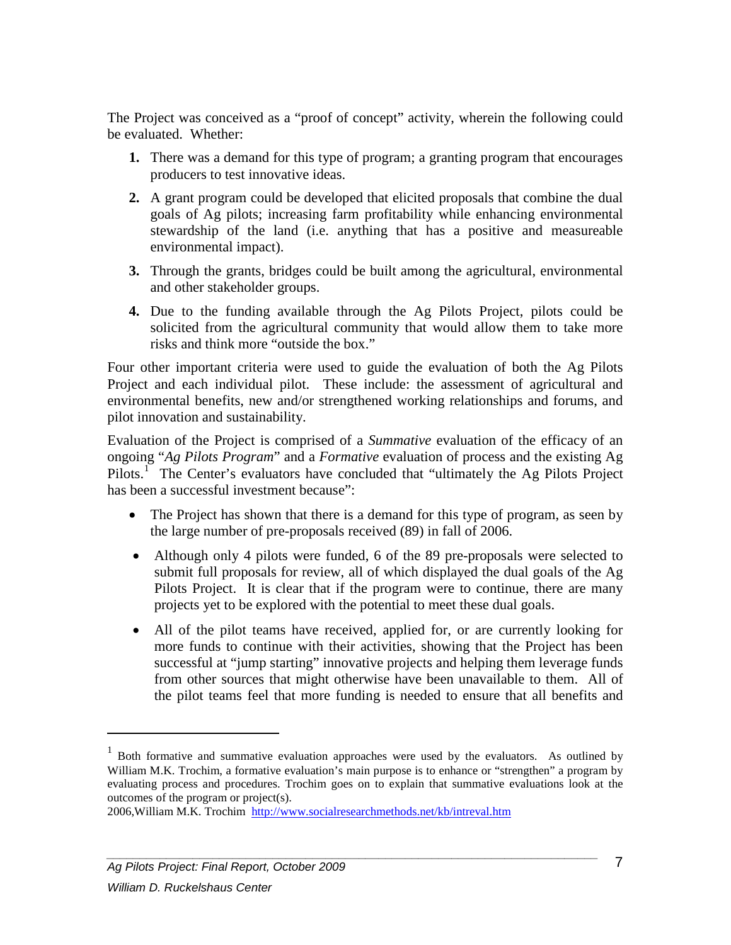The Project was conceived as a "proof of concept" activity, wherein the following could be evaluated. Whether:

- **1.** There was a demand for this type of program; a granting program that encourages producers to test innovative ideas.
- **2.** A grant program could be developed that elicited proposals that combine the dual goals of Ag pilots; increasing farm profitability while enhancing environmental stewardship of the land (i.e. anything that has a positive and measureable environmental impact).
- **3.** Through the grants, bridges could be built among the agricultural, environmental and other stakeholder groups.
- **4.** Due to the funding available through the Ag Pilots Project, pilots could be solicited from the agricultural community that would allow them to take more risks and think more "outside the box."

Four other important criteria were used to guide the evaluation of both the Ag Pilots Project and each individual pilot. These include: the assessment of agricultural and environmental benefits, new and/or strengthened working relationships and forums, and pilot innovation and sustainability.

Evaluation of the Project is comprised of a *Summative* evaluation of the efficacy of an ongoing "*Ag Pilots Program*" and a *Formative* evaluation of process and the existing Ag Pilots.<sup>[1](#page-7-0)</sup> The Center's evaluators have concluded that "ultimately the Ag Pilots Project has been a successful investment because":

- The Project has shown that there is a demand for this type of program, as seen by the large number of pre-proposals received (89) in fall of 2006.
- Although only 4 pilots were funded, 6 of the 89 pre-proposals were selected to submit full proposals for review, all of which displayed the dual goals of the Ag Pilots Project. It is clear that if the program were to continue, there are many projects yet to be explored with the potential to meet these dual goals.
- All of the pilot teams have received, applied for, or are currently looking for more funds to continue with their activities, showing that the Project has been successful at "jump starting" innovative projects and helping them leverage funds from other sources that might otherwise have been unavailable to them. All of the pilot teams feel that more funding is needed to ensure that all benefits and

 $\overline{a}$ 

 $<sup>1</sup>$  Both formative and summative evaluation approaches were used by the evaluators. As outlined by</sup> William M.K. Trochim, a formative evaluation's main purpose is to enhance or "strengthen" a program by evaluating process and procedures. Trochim goes on to explain that summative evaluations look at the outcomes of the program or project(s).

<span id="page-7-0"></span><sup>2006,</sup>William M.K. Trochim <http://www.socialresearchmethods.net/kb/intreval.htm>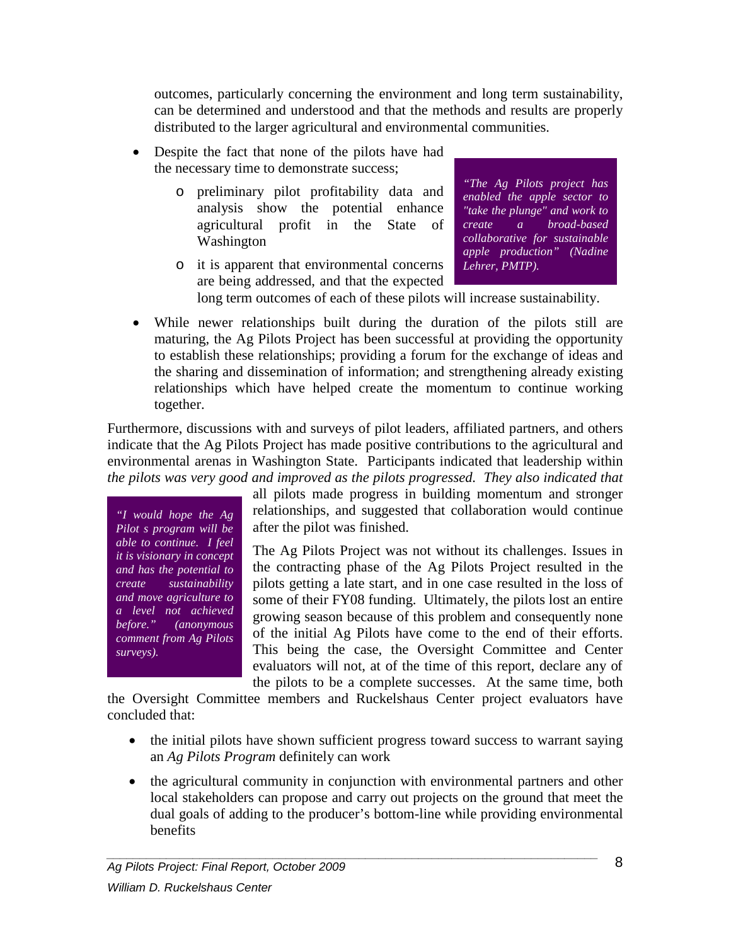outcomes, particularly concerning the environment and long term sustainability, can be determined and understood and that the methods and results are properly distributed to the larger agricultural and environmental communities.

- Despite the fact that none of the pilots have had the necessary time to demonstrate success;
	- o preliminary pilot profitability data and analysis show the potential enhance agricultural profit in the State of Washington
	- o it is apparent that environmental concerns are being addressed, and that the expected

*"The Ag Pilots project has enabled the apple sector to "take the plunge" and work to create a broad-based collaborative for sustainable apple production" (Nadine Lehrer, PMTP).*

long term outcomes of each of these pilots will increase sustainability.

• While newer relationships built during the duration of the pilots still are maturing, the Ag Pilots Project has been successful at providing the opportunity to establish these relationships; providing a forum for the exchange of ideas and the sharing and dissemination of information; and strengthening already existing relationships which have helped create the momentum to continue working together.

Furthermore, discussions with and surveys of pilot leaders, affiliated partners, and others indicate that the Ag Pilots Project has made positive contributions to the agricultural and environmental arenas in Washington State. Participants indicated that leadership within *the pilots was very good and improved as the pilots progressed. They also indicated that*

*"I would hope the Ag Pilot s program will be able to continue. I feel it is visionary in concept and has the potential to create sustainability and move agriculture to a level not achieved before." (anonymous comment from Ag Pilots surveys).*

all pilots made progress in building momentum and stronger relationships, and suggested that collaboration would continue after the pilot was finished.

The Ag Pilots Project was not without its challenges. Issues in the contracting phase of the Ag Pilots Project resulted in the pilots getting a late start, and in one case resulted in the loss of some of their FY08 funding. Ultimately, the pilots lost an entire growing season because of this problem and consequently none of the initial Ag Pilots have come to the end of their efforts. This being the case, the Oversight Committee and Center evaluators will not, at of the time of this report, declare any of the pilots to be a complete successes. At the same time, both

the Oversight Committee members and Ruckelshaus Center project evaluators have concluded that:

- the initial pilots have shown sufficient progress toward success to warrant saying an *Ag Pilots Program* definitely can work
- the agricultural community in conjunction with environmental partners and other local stakeholders can propose and carry out projects on the ground that meet the dual goals of adding to the producer's bottom-line while providing environmental benefits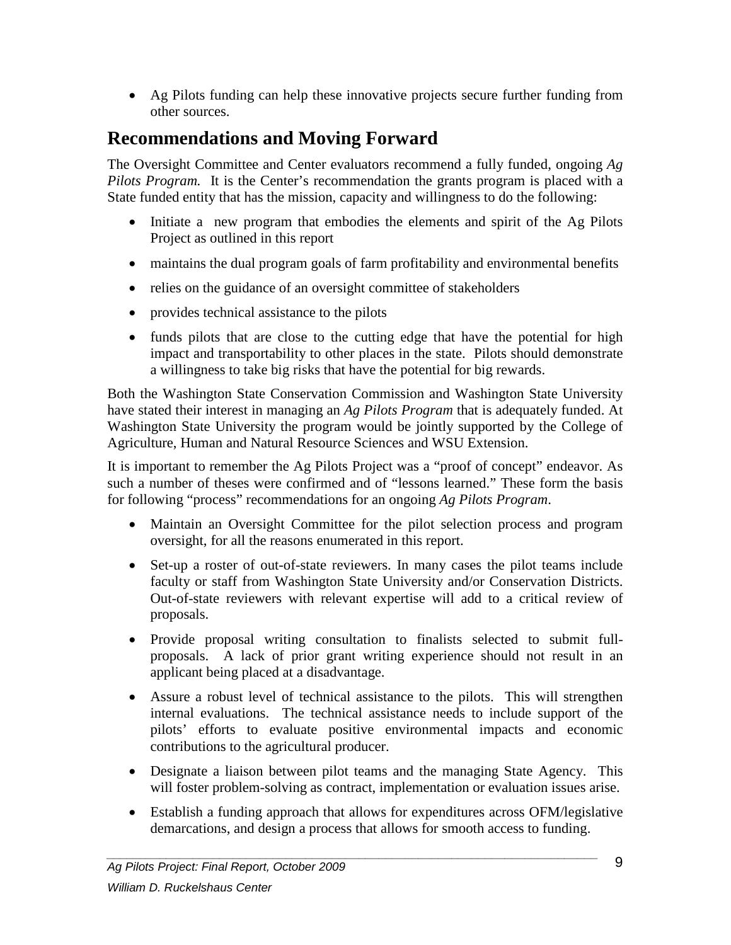• Ag Pilots funding can help these innovative projects secure further funding from other sources.

# <span id="page-9-0"></span>**Recommendations and Moving Forward**

The Oversight Committee and Center evaluators recommend a fully funded, ongoing *Ag Pilots Program.* It is the Center's recommendation the grants program is placed with a State funded entity that has the mission, capacity and willingness to do the following:

- Initiate a new program that embodies the elements and spirit of the Ag Pilots Project as outlined in this report
- maintains the dual program goals of farm profitability and environmental benefits
- relies on the guidance of an oversight committee of stakeholders
- provides technical assistance to the pilots
- funds pilots that are close to the cutting edge that have the potential for high impact and transportability to other places in the state. Pilots should demonstrate a willingness to take big risks that have the potential for big rewards.

Both the Washington State Conservation Commission and Washington State University have stated their interest in managing an *Ag Pilots Program* that is adequately funded. At Washington State University the program would be jointly supported by the College of Agriculture, Human and Natural Resource Sciences and WSU Extension.

It is important to remember the Ag Pilots Project was a "proof of concept" endeavor. As such a number of theses were confirmed and of "lessons learned." These form the basis for following "process" recommendations for an ongoing *Ag Pilots Program*.

- Maintain an Oversight Committee for the pilot selection process and program oversight, for all the reasons enumerated in this report.
- Set-up a roster of out-of-state reviewers. In many cases the pilot teams include faculty or staff from Washington State University and/or Conservation Districts. Out-of-state reviewers with relevant expertise will add to a critical review of proposals.
- Provide proposal writing consultation to finalists selected to submit fullproposals. A lack of prior grant writing experience should not result in an applicant being placed at a disadvantage.
- Assure a robust level of technical assistance to the pilots. This will strengthen internal evaluations. The technical assistance needs to include support of the pilots' efforts to evaluate positive environmental impacts and economic contributions to the agricultural producer.
- Designate a liaison between pilot teams and the managing State Agency. This will foster problem-solving as contract, implementation or evaluation issues arise.
- Establish a funding approach that allows for expenditures across OFM/legislative demarcations, and design a process that allows for smooth access to funding.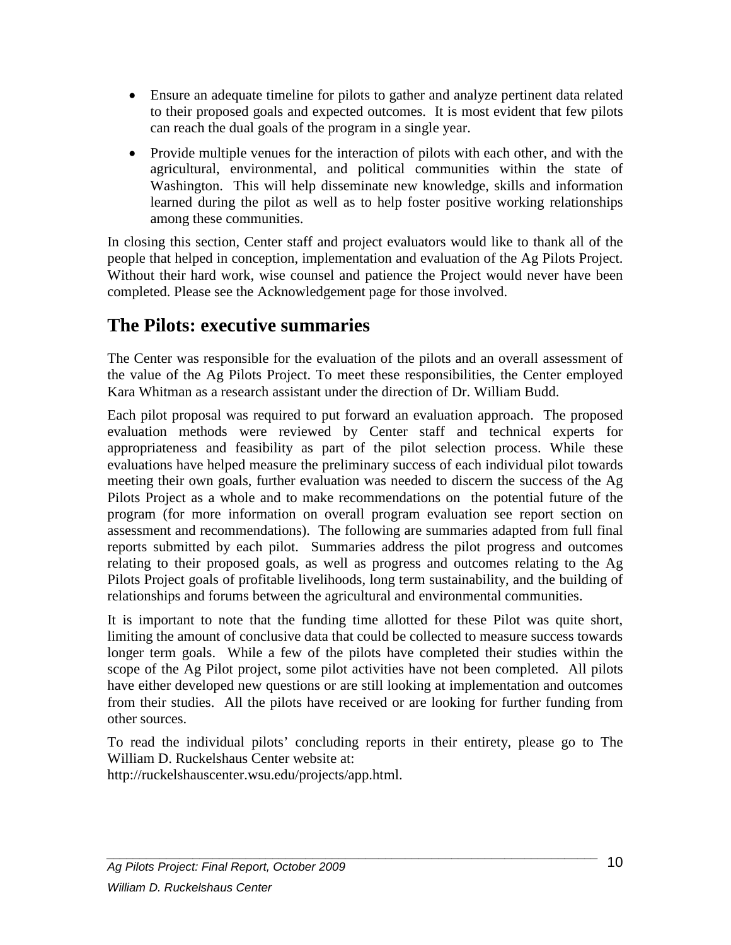- Ensure an adequate timeline for pilots to gather and analyze pertinent data related to their proposed goals and expected outcomes. It is most evident that few pilots can reach the dual goals of the program in a single year.
- Provide multiple venues for the interaction of pilots with each other, and with the agricultural, environmental, and political communities within the state of Washington. This will help disseminate new knowledge, skills and information learned during the pilot as well as to help foster positive working relationships among these communities.

In closing this section, Center staff and project evaluators would like to thank all of the people that helped in conception, implementation and evaluation of the Ag Pilots Project. Without their hard work, wise counsel and patience the Project would never have been completed. Please see the Acknowledgement page for those involved.

# <span id="page-10-0"></span>**The Pilots: executive summaries**

The Center was responsible for the evaluation of the pilots and an overall assessment of the value of the Ag Pilots Project. To meet these responsibilities, the Center employed Kara Whitman as a research assistant under the direction of Dr. William Budd.

Each pilot proposal was required to put forward an evaluation approach. The proposed evaluation methods were reviewed by Center staff and technical experts for appropriateness and feasibility as part of the pilot selection process. While these evaluations have helped measure the preliminary success of each individual pilot towards meeting their own goals, further evaluation was needed to discern the success of the Ag Pilots Project as a whole and to make recommendations on the potential future of the program (for more information on overall program evaluation see report section on assessment and recommendations). The following are summaries adapted from full final reports submitted by each pilot. Summaries address the pilot progress and outcomes relating to their proposed goals, as well as progress and outcomes relating to the Ag Pilots Project goals of profitable livelihoods, long term sustainability, and the building of relationships and forums between the agricultural and environmental communities.

It is important to note that the funding time allotted for these Pilot was quite short, limiting the amount of conclusive data that could be collected to measure success towards longer term goals. While a few of the pilots have completed their studies within the scope of the Ag Pilot project, some pilot activities have not been completed. All pilots have either developed new questions or are still looking at implementation and outcomes from their studies. All the pilots have received or are looking for further funding from other sources.

To read the individual pilots' concluding reports in their entirety, please go to The William D. Ruckelshaus Center website at:

<span id="page-10-1"></span>http://ruckelshauscenter.wsu.edu/projects/app.html.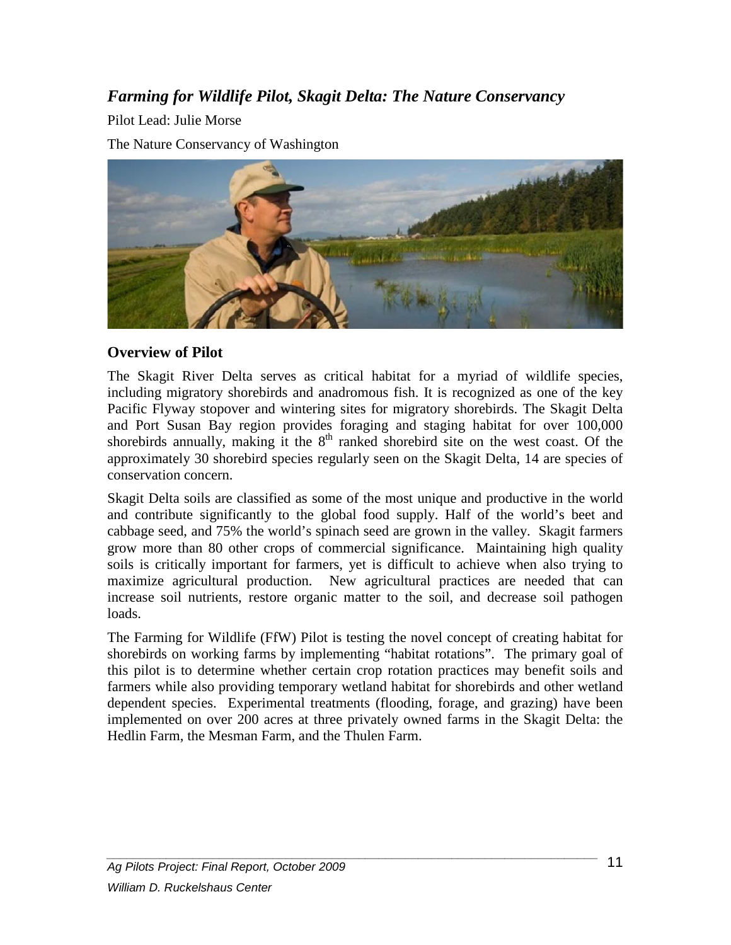# *Farming for Wildlife Pilot, Skagit Delta: The Nature Conservancy*

Pilot Lead: Julie Morse

The Nature Conservancy of Washington



#### **Overview of Pilot**

The Skagit River Delta serves as critical habitat for a myriad of wildlife species, including migratory shorebirds and anadromous fish. It is recognized as one of the key Pacific Flyway stopover and wintering sites for migratory shorebirds. The Skagit Delta and Port Susan Bay region provides foraging and staging habitat for over 100,000 shorebirds annually, making it the  $8<sup>th</sup>$  ranked shorebird site on the west coast. Of the approximately 30 shorebird species regularly seen on the Skagit Delta, 14 are species of conservation concern.

Skagit Delta soils are classified as some of the most unique and productive in the world and contribute significantly to the global food supply. Half of the world's beet and cabbage seed, and 75% the world's spinach seed are grown in the valley. Skagit farmers grow more than 80 other crops of commercial significance. Maintaining high quality soils is critically important for farmers, yet is difficult to achieve when also trying to maximize agricultural production. New agricultural practices are needed that can increase soil nutrients, restore organic matter to the soil, and decrease soil pathogen loads.

The Farming for Wildlife (FfW) Pilot is testing the novel concept of creating habitat for shorebirds on working farms by implementing "habitat rotations". The primary goal of this pilot is to determine whether certain crop rotation practices may benefit soils and farmers while also providing temporary wetland habitat for shorebirds and other wetland dependent species. Experimental treatments (flooding, forage, and grazing) have been implemented on over 200 acres at three privately owned farms in the Skagit Delta: the Hedlin Farm, the Mesman Farm, and the Thulen Farm.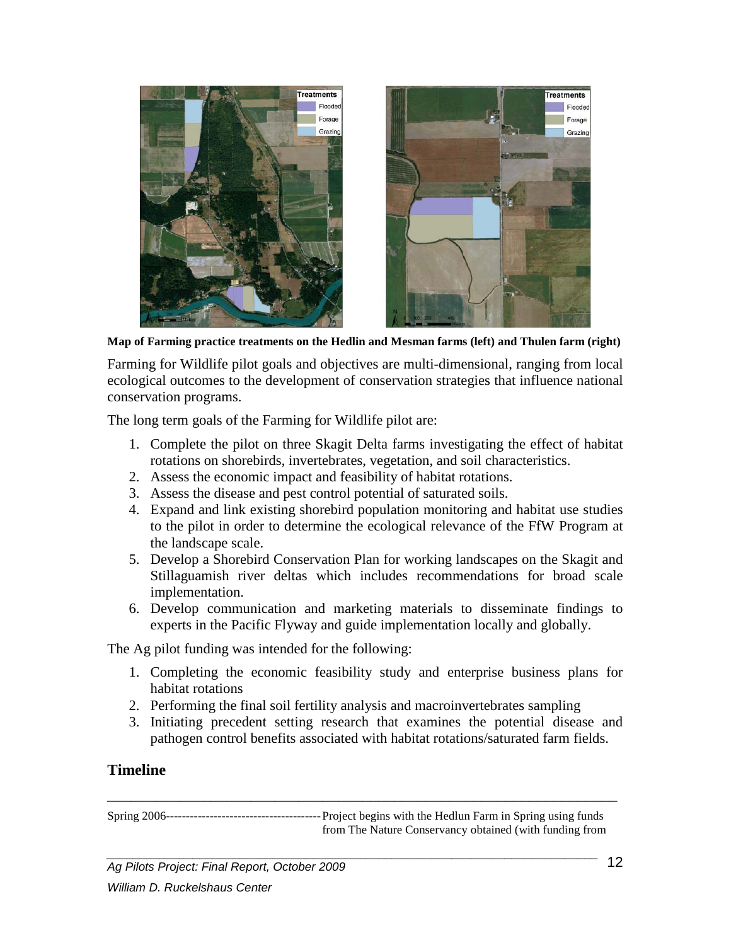

**Map of Farming practice treatments on the Hedlin and Mesman farms (left) and Thulen farm (right)**

Farming for Wildlife pilot goals and objectives are multi-dimensional, ranging from local ecological outcomes to the development of conservation strategies that influence national conservation programs.

The long term goals of the Farming for Wildlife pilot are:

- 1. Complete the pilot on three Skagit Delta farms investigating the effect of habitat rotations on shorebirds, invertebrates, vegetation, and soil characteristics.
- 2. Assess the economic impact and feasibility of habitat rotations.
- 3. Assess the disease and pest control potential of saturated soils.
- 4. Expand and link existing shorebird population monitoring and habitat use studies to the pilot in order to determine the ecological relevance of the FfW Program at the landscape scale.
- 5. Develop a Shorebird Conservation Plan for working landscapes on the Skagit and Stillaguamish river deltas which includes recommendations for broad scale implementation.
- 6. Develop communication and marketing materials to disseminate findings to experts in the Pacific Flyway and guide implementation locally and globally.

The Ag pilot funding was intended for the following:

- 1. Completing the economic feasibility study and enterprise business plans for habitat rotations
- 2. Performing the final soil fertility analysis and macroinvertebrates sampling
- 3. Initiating precedent setting research that examines the potential disease and pathogen control benefits associated with habitat rotations/saturated farm fields.

#### **Timeline**

Spring 2006---------------------------------------Project begins with the Hedlun Farm in Spring using funds from The Nature Conservancy obtained (with funding from

\_\_\_\_\_\_\_\_\_\_\_\_\_\_\_\_\_\_\_\_\_\_\_\_\_\_\_\_\_\_\_\_\_\_\_\_\_\_\_\_\_\_\_\_\_\_\_\_\_\_\_\_\_\_\_\_\_\_\_\_\_\_\_\_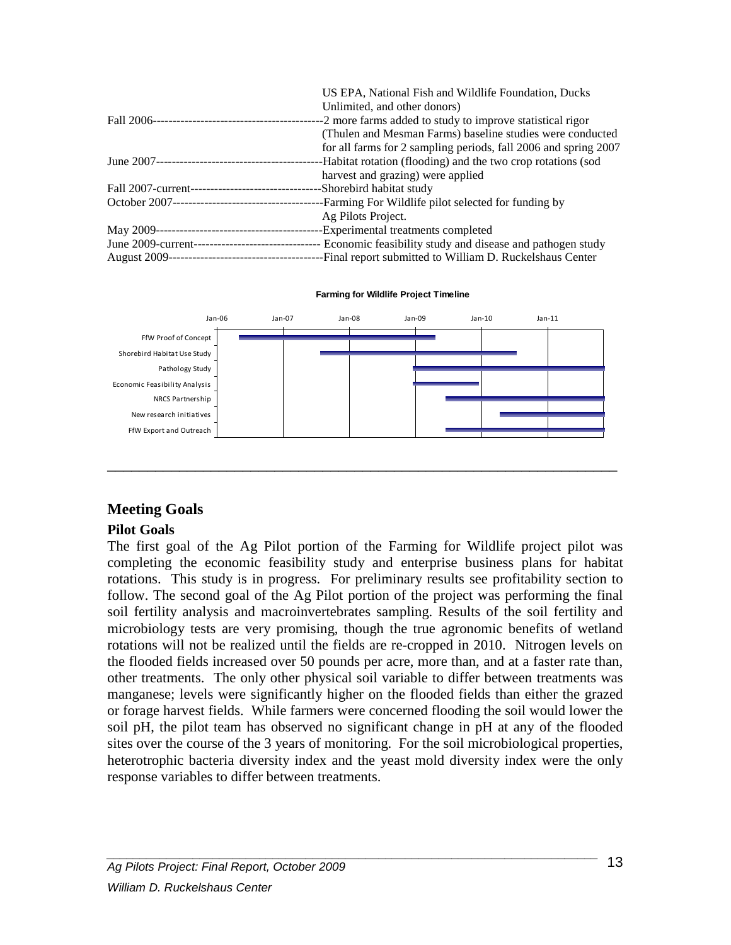|                                                    | US EPA, National Fish and Wildlife Foundation, Ducks            |
|----------------------------------------------------|-----------------------------------------------------------------|
|                                                    | Unlimited, and other donors)                                    |
|                                                    | --2 more farms added to study to improve statistical rigor-     |
|                                                    | (Thulen and Mesman Farms) baseline studies were conducted       |
|                                                    | for all farms for 2 sampling periods, fall 2006 and spring 2007 |
|                                                    | -Habitat rotation (flooding) and the two crop rotations (sod    |
|                                                    | harvest and grazing) were applied                               |
| Fall 2007-current--------------------------------- | -Shorebird habitat study                                        |
|                                                    | -Farming For Wildlife pilot selected for funding by             |
|                                                    | Ag Pilots Project.                                              |
|                                                    | -Experimental treatments completed                              |
|                                                    |                                                                 |
| <b>August 2009---</b><br>-----------------------   | -Final report submitted to William D. Ruckelshaus Center        |

Jan-06 Jan-07 Jan-08 Jan-09 Jan-10 Jan-11 FfW Proof of Concept Shorebird Habitat Use Study Pathology Study Economic Feasibility Analysis NRCS Partnership New research initiatives FfW Export and Outreach

\_\_\_\_\_\_\_\_\_\_\_\_\_\_\_\_\_\_\_\_\_\_\_\_\_\_\_\_\_\_\_\_\_\_\_\_\_\_\_\_\_\_\_\_\_\_\_\_\_\_\_\_\_\_\_\_\_\_\_\_\_\_\_\_

**Farming for Wildlife Project Timeline**

#### **Meeting Goals**

#### **Pilot Goals**

The first goal of the Ag Pilot portion of the Farming for Wildlife project pilot was completing the economic feasibility study and enterprise business plans for habitat rotations. This study is in progress. For preliminary results see profitability section to follow. The second goal of the Ag Pilot portion of the project was performing the final soil fertility analysis and macroinvertebrates sampling. Results of the soil fertility and microbiology tests are very promising, though the true agronomic benefits of wetland rotations will not be realized until the fields are re-cropped in 2010. Nitrogen levels on the flooded fields increased over 50 pounds per acre, more than, and at a faster rate than, other treatments. The only other physical soil variable to differ between treatments was manganese; levels were significantly higher on the flooded fields than either the grazed or forage harvest fields. While farmers were concerned flooding the soil would lower the soil pH, the pilot team has observed no significant change in pH at any of the flooded sites over the course of the 3 years of monitoring. For the soil microbiological properties, heterotrophic bacteria diversity index and the yeast mold diversity index were the only response variables to differ between treatments.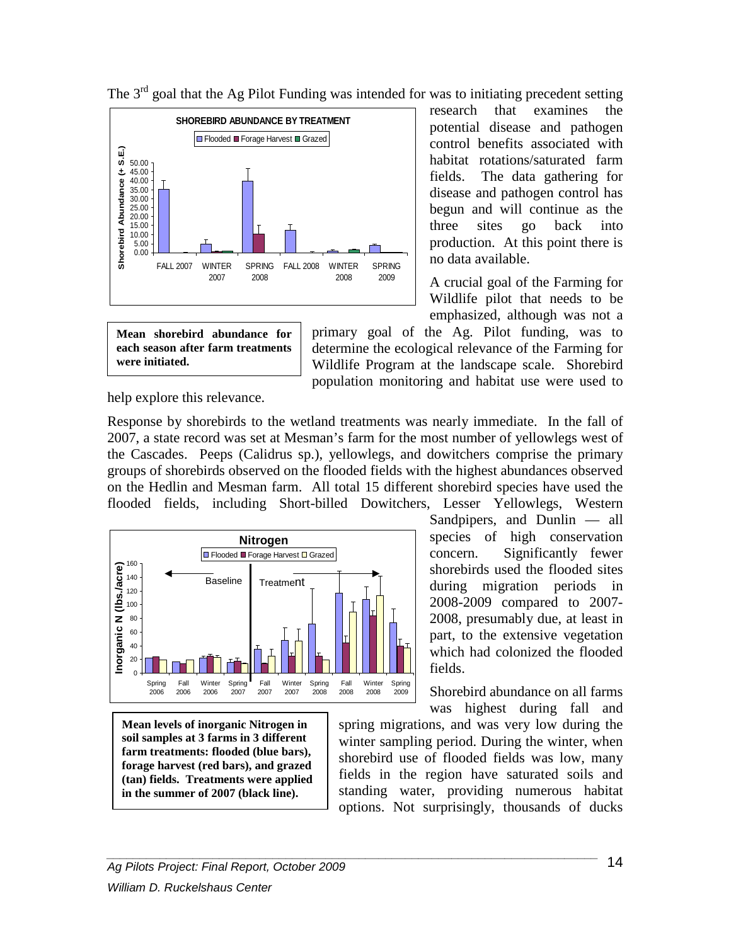

research that examines the potential disease and pathogen control benefits associated with habitat rotations/saturated farm fields. The data gathering for disease and pathogen control has begun and will continue as the three sites go back into production. At this point there is no data available.

A crucial goal of the Farming for Wildlife pilot that needs to be emphasized, although was not a

**Mean shorebird abundance for each season after farm treatments were initiated.**

primary goal of the Ag. Pilot funding, was to determine the ecological relevance of the Farming for Wildlife Program at the landscape scale. Shorebird population monitoring and habitat use were used to

help explore this relevance.

Response by shorebirds to the wetland treatments was nearly immediate. In the fall of 2007, a state record was set at Mesman's farm for the most number of yellowlegs west of the Cascades. Peeps (Calidrus sp.), yellowlegs, and dowitchers comprise the primary groups of shorebirds observed on the flooded fields with the highest abundances observed on the Hedlin and Mesman farm. All total 15 different shorebird species have used the flooded fields, including Short-billed Dowitchers, Lesser Yellowlegs, Western



**Mean levels of inorganic Nitrogen in soil samples at 3 farms in 3 different farm treatments: flooded (blue bars), forage harvest (red bars), and grazed (tan) fields. Treatments were applied in the summer of 2007 (black line).**

Sandpipers, and Dunlin — all species of high conservation concern. Significantly fewer shorebirds used the flooded sites during migration periods in 2008-2009 compared to 2007- 2008, presumably due, at least in part, to the extensive vegetation which had colonized the flooded fields.

Shorebird abundance on all farms was highest during fall and

spring migrations, and was very low during the winter sampling period. During the winter, when shorebird use of flooded fields was low, many fields in the region have saturated soils and standing water, providing numerous habitat options. Not surprisingly, thousands of ducks

The  $3<sup>rd</sup>$  goal that the Ag Pilot Funding was intended for was to initiating precedent setting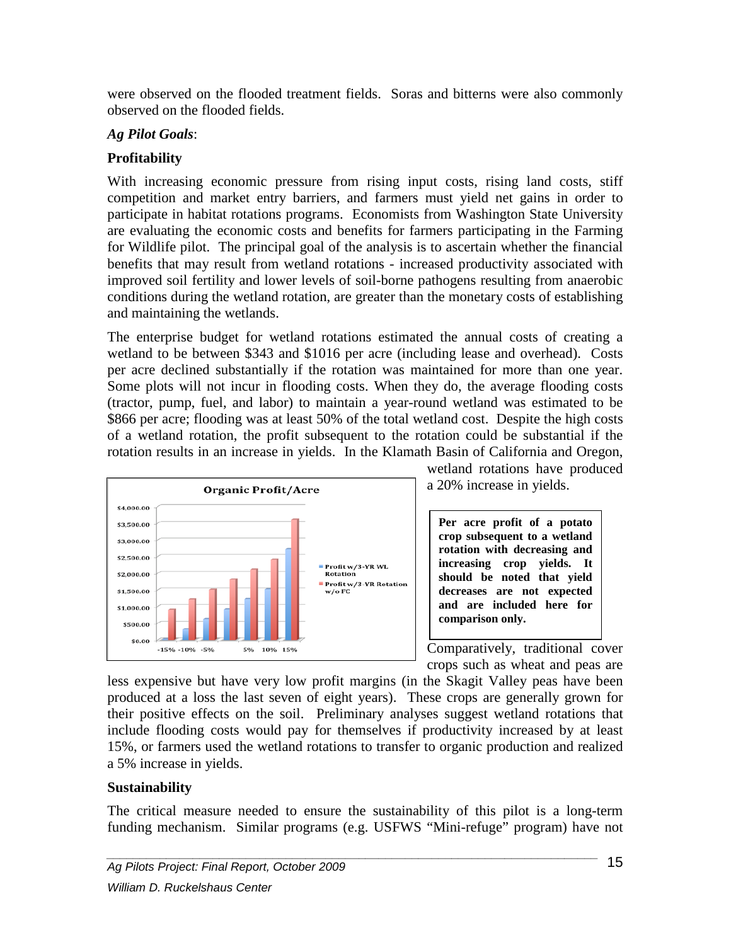were observed on the flooded treatment fields. Soras and bitterns were also commonly observed on the flooded fields.

#### *Ag Pilot Goals*:

# **Profitability**

With increasing economic pressure from rising input costs, rising land costs, stiff competition and market entry barriers, and farmers must yield net gains in order to participate in habitat rotations programs. Economists from Washington State University are evaluating the economic costs and benefits for farmers participating in the Farming for Wildlife pilot. The principal goal of the analysis is to ascertain whether the financial benefits that may result from wetland rotations - increased productivity associated with improved soil fertility and lower levels of soil-borne pathogens resulting from anaerobic conditions during the wetland rotation, are greater than the monetary costs of establishing and maintaining the wetlands.

The enterprise budget for wetland rotations estimated the annual costs of creating a wetland to be between \$343 and \$1016 per acre (including lease and overhead). Costs per acre declined substantially if the rotation was maintained for more than one year. Some plots will not incur in flooding costs. When they do, the average flooding costs (tractor, pump, fuel, and labor) to maintain a year-round wetland was estimated to be \$866 per acre; flooding was at least 50% of the total wetland cost. Despite the high costs of a wetland rotation, the profit subsequent to the rotation could be substantial if the rotation results in an increase in yields. In the Klamath Basin of California and Oregon,



wetland rotations have produced a 20% increase in yields.

**Per acre profit of a potato crop subsequent to a wetland rotation with decreasing and increasing crop yields. It should be noted that yield decreases are not expected and are included here for comparison only.**

Comparatively, traditional cover crops such as wheat and peas are

less expensive but have very low profit margins (in the Skagit Valley peas have been produced at a loss the last seven of eight years). These crops are generally grown for their positive effects on the soil. Preliminary analyses suggest wetland rotations that include flooding costs would pay for themselves if productivity increased by at least 15%, or farmers used the wetland rotations to transfer to organic production and realized a 5% increase in yields.

## **Sustainability**

The critical measure needed to ensure the sustainability of this pilot is a long-term funding mechanism. Similar programs (e.g. USFWS "Mini-refuge" program) have not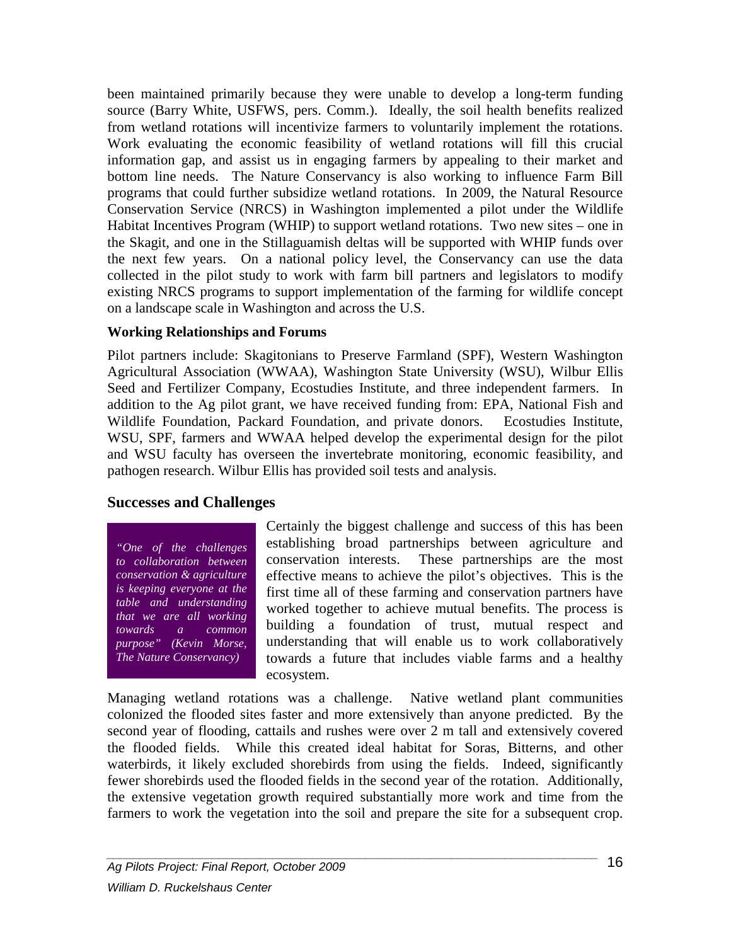been maintained primarily because they were unable to develop a long-term funding source (Barry White, USFWS, pers. Comm.). Ideally, the soil health benefits realized from wetland rotations will incentivize farmers to voluntarily implement the rotations. Work evaluating the economic feasibility of wetland rotations will fill this crucial information gap, and assist us in engaging farmers by appealing to their market and bottom line needs. The Nature Conservancy is also working to influence Farm Bill programs that could further subsidize wetland rotations. In 2009, the Natural Resource Conservation Service (NRCS) in Washington implemented a pilot under the Wildlife Habitat Incentives Program (WHIP) to support wetland rotations. Two new sites – one in the Skagit, and one in the Stillaguamish deltas will be supported with WHIP funds over the next few years. On a national policy level, the Conservancy can use the data collected in the pilot study to work with farm bill partners and legislators to modify existing NRCS programs to support implementation of the farming for wildlife concept on a landscape scale in Washington and across the U.S.

#### **Working Relationships and Forums**

Pilot partners include: Skagitonians to Preserve Farmland (SPF), Western Washington Agricultural Association (WWAA), Washington State University (WSU), Wilbur Ellis Seed and Fertilizer Company, Ecostudies Institute, and three independent farmers. In addition to the Ag pilot grant, we have received funding from: EPA, National Fish and Wildlife Foundation, Packard Foundation, and private donors. Ecostudies Institute, WSU, SPF, farmers and WWAA helped develop the experimental design for the pilot and WSU faculty has overseen the invertebrate monitoring, economic feasibility, and pathogen research. Wilbur Ellis has provided soil tests and analysis.

#### **Successes and Challenges**

*"One of the challenges to collaboration between conservation & agriculture is keeping everyone at the table and understanding that we are all working towards a common purpose" (Kevin Morse, The Nature Conservancy)*

Certainly the biggest challenge and success of this has been establishing broad partnerships between agriculture and conservation interests. These partnerships are the most effective means to achieve the pilot's objectives. This is the first time all of these farming and conservation partners have worked together to achieve mutual benefits. The process is building a foundation of trust, mutual respect and understanding that will enable us to work collaboratively towards a future that includes viable farms and a healthy ecosystem.

Managing wetland rotations was a challenge.Native wetland plant communities colonized the flooded sites faster and more extensively than anyone predicted. By the second year of flooding, cattails and rushes were over 2 m tall and extensively covered the flooded fields. While this created ideal habitat for Soras, Bitterns, and other waterbirds, it likely excluded shorebirds from using the fields. Indeed, significantly fewer shorebirds used the flooded fields in the second year of the rotation. Additionally, the extensive vegetation growth required substantially more work and time from the farmers to work the vegetation into the soil and prepare the site for a subsequent crop.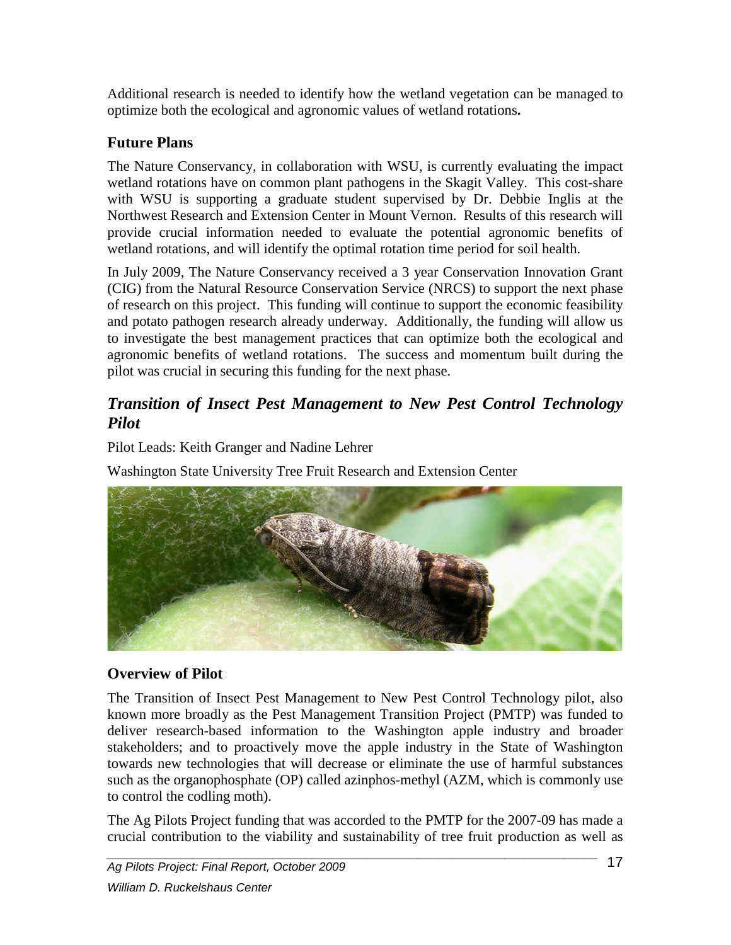Additional research is needed to identify how the wetland vegetation can be managed to optimize both the ecological and agronomic values of wetland rotations**.**

# **Future Plans**

The Nature Conservancy, in collaboration with WSU, is currently evaluating the impact wetland rotations have on common plant pathogens in the Skagit Valley. This cost-share with WSU is supporting a graduate student supervised by Dr. Debbie Inglis at the Northwest Research and Extension Center in Mount Vernon. Results of this research will provide crucial information needed to evaluate the potential agronomic benefits of wetland rotations, and will identify the optimal rotation time period for soil health.

In July 2009, The Nature Conservancy received a 3 year Conservation Innovation Grant (CIG) from the Natural Resource Conservation Service (NRCS) to support the next phase of research on this project. This funding will continue to support the economic feasibility and potato pathogen research already underway. Additionally, the funding will allow us to investigate the best management practices that can optimize both the ecological and agronomic benefits of wetland rotations. The success and momentum built during the pilot was crucial in securing this funding for the next phase.

# <span id="page-17-0"></span>*Transition of Insect Pest Management to New Pest Control Technology Pilot*

Pilot Leads: Keith Granger and Nadine Lehrer

Washington State University Tree Fruit Research and Extension Center



## **Overview of Pilot**

The Transition of Insect Pest Management to New Pest Control Technology pilot, also known more broadly as the Pest Management Transition Project (PMTP) was funded to deliver research-based information to the Washington apple industry and broader stakeholders; and to proactively move the apple industry in the State of Washington towards new technologies that will decrease or eliminate the use of harmful substances such as the organophosphate (OP) called azinphos-methyl (AZM, which is commonly use to control the codling moth).

The Ag Pilots Project funding that was accorded to the PMTP for the 2007-09 has made a crucial contribution to the viability and sustainability of tree fruit production as well as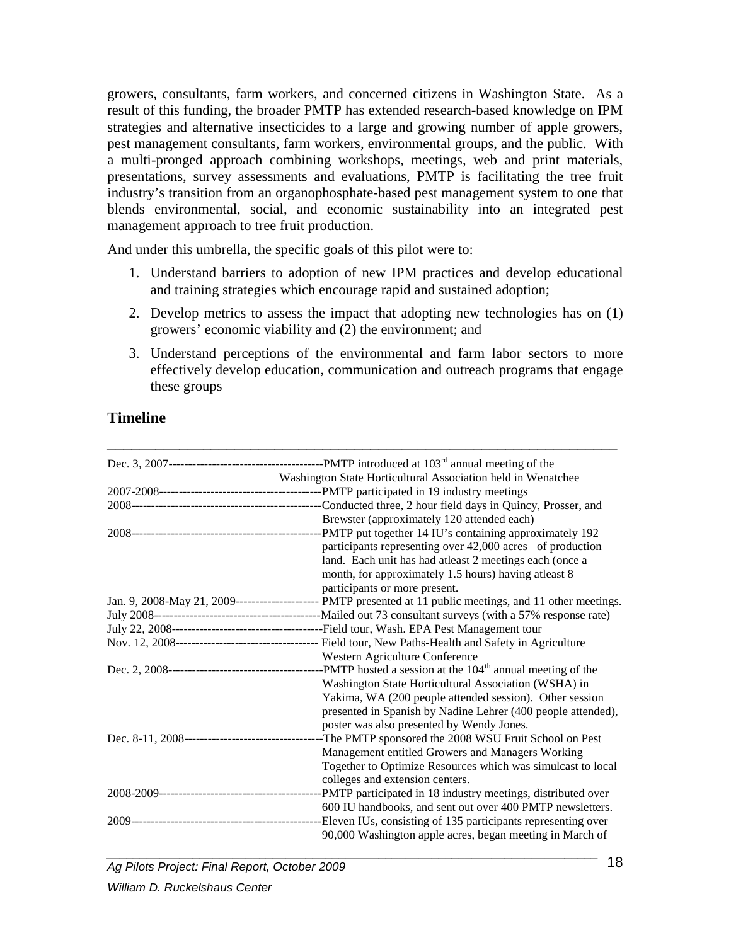growers, consultants, farm workers, and concerned citizens in Washington State. As a result of this funding, the broader PMTP has extended research-based knowledge on IPM strategies and alternative insecticides to a large and growing number of apple growers, pest management consultants, farm workers, environmental groups, and the public. With a multi-pronged approach combining workshops, meetings, web and print materials, presentations, survey assessments and evaluations, PMTP is facilitating the tree fruit industry's transition from an organophosphate-based pest management system to one that blends environmental, social, and economic sustainability into an integrated pest management approach to tree fruit production.

And under this umbrella, the specific goals of this pilot were to:

- 1. Understand barriers to adoption of new IPM practices and develop educational and training strategies which encourage rapid and sustained adoption;
- 2. Develop metrics to assess the impact that adopting new technologies has on (1) growers' economic viability and (2) the environment; and
- 3. Understand perceptions of the environmental and farm labor sectors to more effectively develop education, communication and outreach programs that engage these groups

\_\_\_\_\_\_\_\_\_\_\_\_\_\_\_\_\_\_\_\_\_\_\_\_\_\_\_\_\_\_\_\_\_\_\_\_\_\_\_\_\_\_\_\_\_\_\_\_\_\_\_\_\_\_\_\_\_\_\_\_\_\_\_\_

#### **Timeline**

| Washington State Horticultural Association held in Wenatchee                                                 |
|--------------------------------------------------------------------------------------------------------------|
|                                                                                                              |
|                                                                                                              |
| Brewster (approximately 120 attended each)                                                                   |
|                                                                                                              |
| participants representing over 42,000 acres of production                                                    |
| land. Each unit has had at least 2 meetings each (once a                                                     |
| month, for approximately 1.5 hours) having atleast 8                                                         |
| participants or more present.                                                                                |
| Jan. 9, 2008-May 21, 2009---------------------- PMTP presented at 11 public meetings, and 11 other meetings. |
|                                                                                                              |
|                                                                                                              |
|                                                                                                              |
| Western Agriculture Conference                                                                               |
|                                                                                                              |
| Washington State Horticultural Association (WSHA) in                                                         |
| Yakima, WA (200 people attended session). Other session                                                      |
| presented in Spanish by Nadine Lehrer (400 people attended),                                                 |
| poster was also presented by Wendy Jones.                                                                    |
| --The PMTP sponsored the 2008 WSU Fruit School on Pest                                                       |
| Management entitled Growers and Managers Working                                                             |
| Together to Optimize Resources which was simulcast to local                                                  |
| colleges and extension centers.                                                                              |
|                                                                                                              |
| 600 IU handbooks, and sent out over 400 PMTP newsletters.                                                    |
| -Eleven IUs, consisting of 135 participants representing over                                                |
| 90,000 Washington apple acres, began meeting in March of                                                     |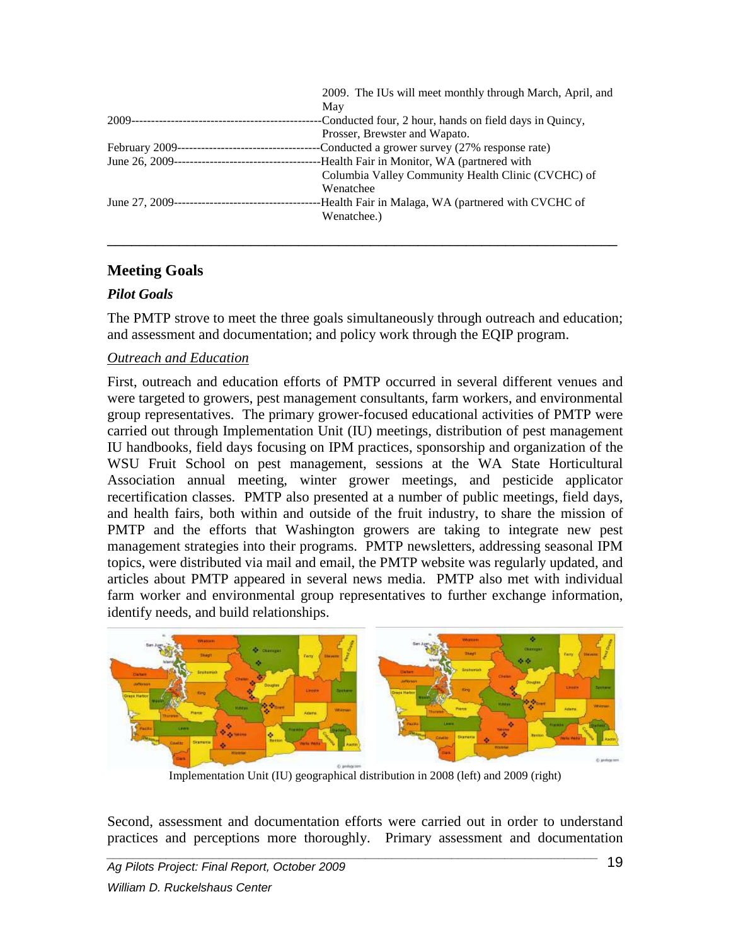| 2009. The IUs will meet monthly through March, April, and |
|-----------------------------------------------------------|
| May                                                       |
| -Conducted four, 2 hour, hands on field days in Quincy,   |
| Prosser, Brewster and Wapato.                             |
| -Conducted a grower survey (27% response rate)            |
| -Health Fair in Monitor, WA (partnered with               |
| Columbia Valley Community Health Clinic (CVCHC) of        |
| Wenatchee                                                 |
| -Health Fair in Malaga, WA (partnered with CVCHC of       |
| Wenatchee.)                                               |
|                                                           |

\_\_\_\_\_\_\_\_\_\_\_\_\_\_\_\_\_\_\_\_\_\_\_\_\_\_\_\_\_\_\_\_\_\_\_\_\_\_\_\_\_\_\_\_\_\_\_\_\_\_\_\_\_\_\_\_\_\_\_\_\_\_\_\_

#### **Meeting Goals**

#### *Pilot Goals*

The PMTP strove to meet the three goals simultaneously through outreach and education; and assessment and documentation; and policy work through the EQIP program.

#### *Outreach and Education*

First, outreach and education efforts of PMTP occurred in several different venues and were targeted to growers, pest management consultants, farm workers, and environmental group representatives. The primary grower-focused educational activities of PMTP were carried out through Implementation Unit (IU) meetings, distribution of pest management IU handbooks, field days focusing on IPM practices, sponsorship and organization of the WSU Fruit School on pest management, sessions at the WA State Horticultural Association annual meeting, winter grower meetings, and pesticide applicator recertification classes. PMTP also presented at a number of public meetings, field days, and health fairs, both within and outside of the fruit industry, to share the mission of PMTP and the efforts that Washington growers are taking to integrate new pest management strategies into their programs. PMTP newsletters, addressing seasonal IPM topics, were distributed via mail and email, the PMTP website was regularly updated, and articles about PMTP appeared in several news media. PMTP also met with individual farm worker and environmental group representatives to further exchange information, identify needs, and build relationships.



Implementation Unit (IU) geographical distribution in 2008 (left) and 2009 (right)

Second, assessment and documentation efforts were carried out in order to understand practices and perceptions more thoroughly. Primary assessment and documentation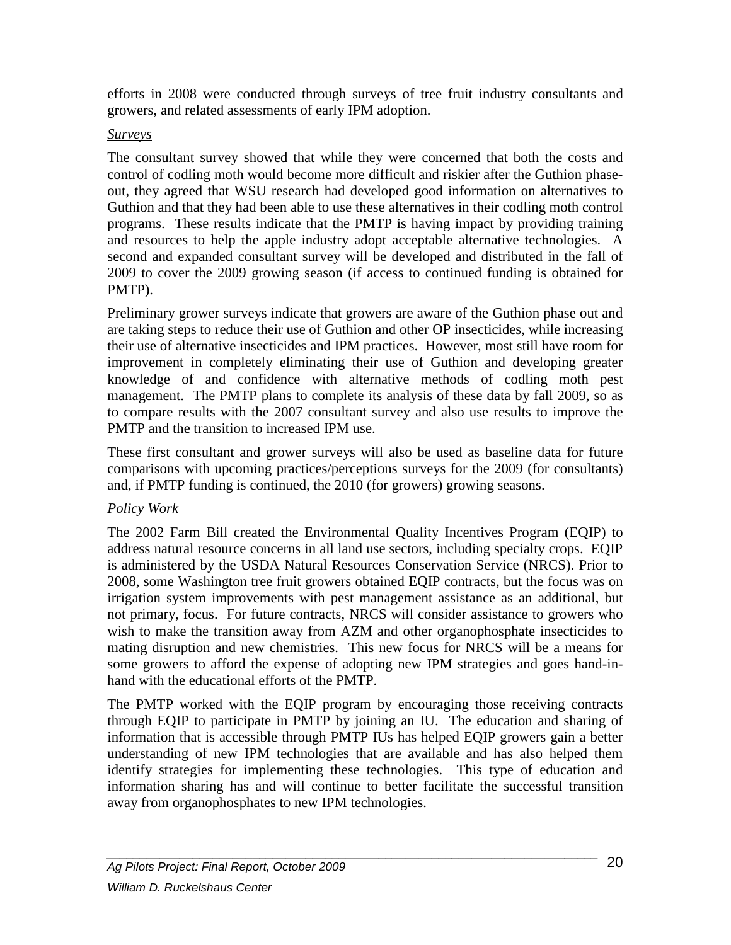efforts in 2008 were conducted through surveys of tree fruit industry consultants and growers, and related assessments of early IPM adoption.

#### *Surveys*

The consultant survey showed that while they were concerned that both the costs and control of codling moth would become more difficult and riskier after the Guthion phaseout, they agreed that WSU research had developed good information on alternatives to Guthion and that they had been able to use these alternatives in their codling moth control programs. These results indicate that the PMTP is having impact by providing training and resources to help the apple industry adopt acceptable alternative technologies. A second and expanded consultant survey will be developed and distributed in the fall of 2009 to cover the 2009 growing season (if access to continued funding is obtained for PMTP).

Preliminary grower surveys indicate that growers are aware of the Guthion phase out and are taking steps to reduce their use of Guthion and other OP insecticides, while increasing their use of alternative insecticides and IPM practices. However, most still have room for improvement in completely eliminating their use of Guthion and developing greater knowledge of and confidence with alternative methods of codling moth pest management. The PMTP plans to complete its analysis of these data by fall 2009, so as to compare results with the 2007 consultant survey and also use results to improve the PMTP and the transition to increased IPM use.

These first consultant and grower surveys will also be used as baseline data for future comparisons with upcoming practices/perceptions surveys for the 2009 (for consultants) and, if PMTP funding is continued, the 2010 (for growers) growing seasons.

#### *Policy Work*

The 2002 Farm Bill created the Environmental Quality Incentives Program (EQIP) to address natural resource concerns in all land use sectors, including specialty crops. EQIP is administered by the USDA Natural Resources Conservation Service (NRCS). Prior to 2008, some Washington tree fruit growers obtained EQIP contracts, but the focus was on irrigation system improvements with pest management assistance as an additional, but not primary, focus. For future contracts, NRCS will consider assistance to growers who wish to make the transition away from AZM and other organophosphate insecticides to mating disruption and new chemistries. This new focus for NRCS will be a means for some growers to afford the expense of adopting new IPM strategies and goes hand-inhand with the educational efforts of the PMTP.

The PMTP worked with the EQIP program by encouraging those receiving contracts through EQIP to participate in PMTP by joining an IU. The education and sharing of information that is accessible through PMTP IUs has helped EQIP growers gain a better understanding of new IPM technologies that are available and has also helped them identify strategies for implementing these technologies. This type of education and information sharing has and will continue to better facilitate the successful transition away from organophosphates to new IPM technologies.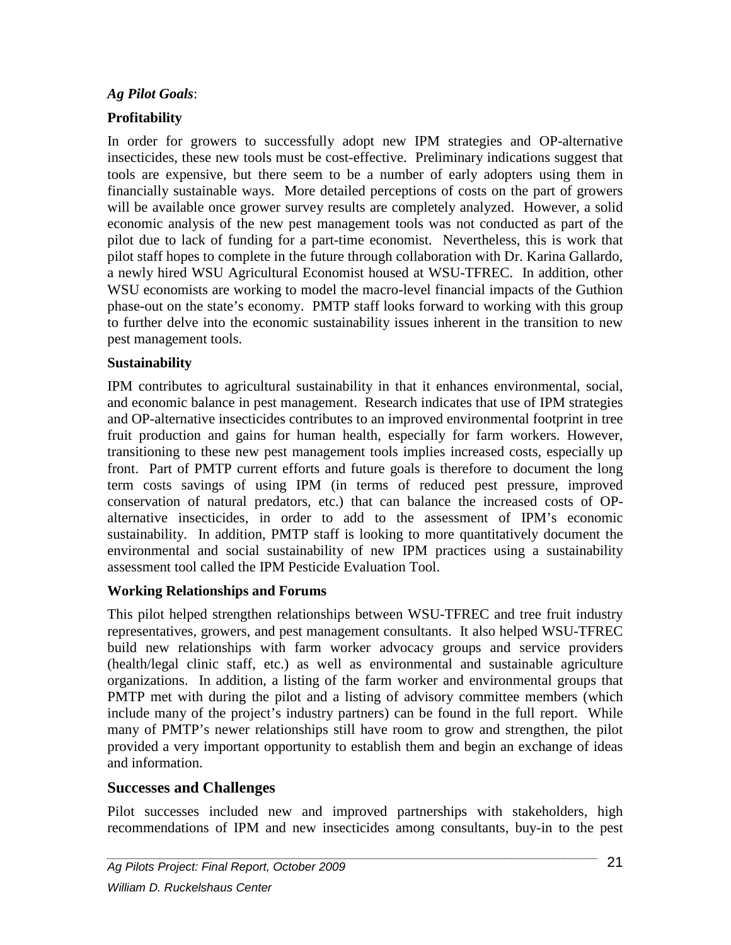#### *Ag Pilot Goals*:

#### **Profitability**

In order for growers to successfully adopt new IPM strategies and OP-alternative insecticides, these new tools must be cost-effective. Preliminary indications suggest that tools are expensive, but there seem to be a number of early adopters using them in financially sustainable ways. More detailed perceptions of costs on the part of growers will be available once grower survey results are completely analyzed. However, a solid economic analysis of the new pest management tools was not conducted as part of the pilot due to lack of funding for a part-time economist. Nevertheless, this is work that pilot staff hopes to complete in the future through collaboration with Dr. Karina Gallardo, a newly hired WSU Agricultural Economist housed at WSU-TFREC. In addition, other WSU economists are working to model the macro-level financial impacts of the Guthion phase-out on the state's economy. PMTP staff looks forward to working with this group to further delve into the economic sustainability issues inherent in the transition to new pest management tools.

#### **Sustainability**

IPM contributes to agricultural sustainability in that it enhances environmental, social, and economic balance in pest management. Research indicates that use of IPM strategies and OP-alternative insecticides contributes to an improved environmental footprint in tree fruit production and gains for human health, especially for farm workers. However, transitioning to these new pest management tools implies increased costs, especially up front. Part of PMTP current efforts and future goals is therefore to document the long term costs savings of using IPM (in terms of reduced pest pressure, improved conservation of natural predators, etc.) that can balance the increased costs of OPalternative insecticides, in order to add to the assessment of IPM's economic sustainability. In addition, PMTP staff is looking to more quantitatively document the environmental and social sustainability of new IPM practices using a sustainability assessment tool called the IPM Pesticide Evaluation Tool.

#### **Working Relationships and Forums**

This pilot helped strengthen relationships between WSU-TFREC and tree fruit industry representatives, growers, and pest management consultants. It also helped WSU-TFREC build new relationships with farm worker advocacy groups and service providers (health/legal clinic staff, etc.) as well as environmental and sustainable agriculture organizations. In addition, a listing of the farm worker and environmental groups that PMTP met with during the pilot and a listing of advisory committee members (which include many of the project's industry partners) can be found in the full report. While many of PMTP's newer relationships still have room to grow and strengthen, the pilot provided a very important opportunity to establish them and begin an exchange of ideas and information.

#### **Successes and Challenges**

Pilot successes included new and improved partnerships with stakeholders, high recommendations of IPM and new insecticides among consultants, buy-in to the pest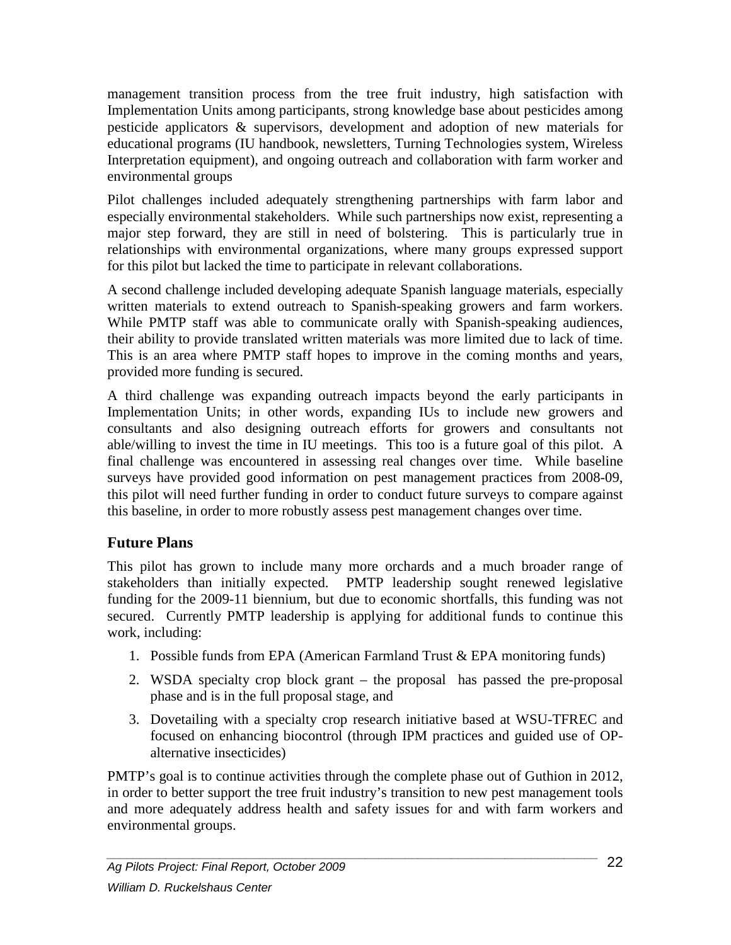management transition process from the tree fruit industry, high satisfaction with Implementation Units among participants, strong knowledge base about pesticides among pesticide applicators & supervisors, development and adoption of new materials for educational programs (IU handbook, newsletters, Turning Technologies system, Wireless Interpretation equipment), and ongoing outreach and collaboration with farm worker and environmental groups

Pilot challenges included adequately strengthening partnerships with farm labor and especially environmental stakeholders. While such partnerships now exist, representing a major step forward, they are still in need of bolstering. This is particularly true in relationships with environmental organizations, where many groups expressed support for this pilot but lacked the time to participate in relevant collaborations.

A second challenge included developing adequate Spanish language materials, especially written materials to extend outreach to Spanish-speaking growers and farm workers. While PMTP staff was able to communicate orally with Spanish-speaking audiences, their ability to provide translated written materials was more limited due to lack of time. This is an area where PMTP staff hopes to improve in the coming months and years, provided more funding is secured.

A third challenge was expanding outreach impacts beyond the early participants in Implementation Units; in other words, expanding IUs to include new growers and consultants and also designing outreach efforts for growers and consultants not able/willing to invest the time in IU meetings. This too is a future goal of this pilot. A final challenge was encountered in assessing real changes over time. While baseline surveys have provided good information on pest management practices from 2008-09, this pilot will need further funding in order to conduct future surveys to compare against this baseline, in order to more robustly assess pest management changes over time.

## **Future Plans**

This pilot has grown to include many more orchards and a much broader range of stakeholders than initially expected. PMTP leadership sought renewed legislative funding for the 2009-11 biennium, but due to economic shortfalls, this funding was not secured. Currently PMTP leadership is applying for additional funds to continue this work, including:

- 1. Possible funds from EPA (American Farmland Trust & EPA monitoring funds)
- 2. WSDA specialty crop block grant the proposal has passed the pre-proposal phase and is in the full proposal stage, and
- 3. Dovetailing with a specialty crop research initiative based at WSU-TFREC and focused on enhancing biocontrol (through IPM practices and guided use of OPalternative insecticides)

PMTP's goal is to continue activities through the complete phase out of Guthion in 2012, in order to better support the tree fruit industry's transition to new pest management tools and more adequately address health and safety issues for and with farm workers and environmental groups.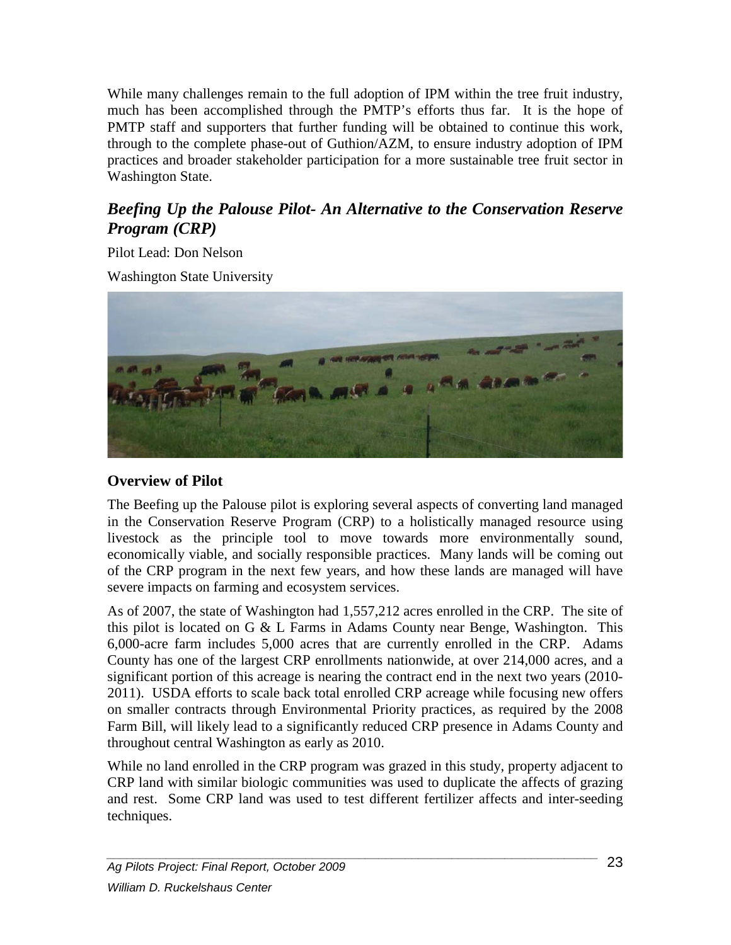While many challenges remain to the full adoption of IPM within the tree fruit industry, much has been accomplished through the PMTP's efforts thus far. It is the hope of PMTP staff and supporters that further funding will be obtained to continue this work, through to the complete phase-out of Guthion/AZM, to ensure industry adoption of IPM practices and broader stakeholder participation for a more sustainable tree fruit sector in Washington State.

# <span id="page-23-0"></span>*Beefing Up the Palouse Pilot- An Alternative to the Conservation Reserve Program (CRP)*

Pilot Lead: Don Nelson

Washington State University



### **Overview of Pilot**

The Beefing up the Palouse pilot is exploring several aspects of converting land managed in the Conservation Reserve Program (CRP) to a holistically managed resource using livestock as the principle tool to move towards more environmentally sound, economically viable, and socially responsible practices. Many lands will be coming out of the CRP program in the next few years, and how these lands are managed will have severe impacts on farming and ecosystem services.

As of 2007, the state of Washington had 1,557,212 acres enrolled in the CRP. The site of this pilot is located on G & L Farms in Adams County near Benge, Washington. This 6,000-acre farm includes 5,000 acres that are currently enrolled in the CRP. Adams County has one of the largest CRP enrollments nationwide, at over 214,000 acres, and a significant portion of this acreage is nearing the contract end in the next two years (2010- 2011). USDA efforts to scale back total enrolled CRP acreage while focusing new offers on smaller contracts through Environmental Priority practices, as required by the 2008 Farm Bill, will likely lead to a significantly reduced CRP presence in Adams County and throughout central Washington as early as 2010.

While no land enrolled in the CRP program was grazed in this study, property adjacent to CRP land with similar biologic communities was used to duplicate the affects of grazing and rest. Some CRP land was used to test different fertilizer affects and inter-seeding techniques.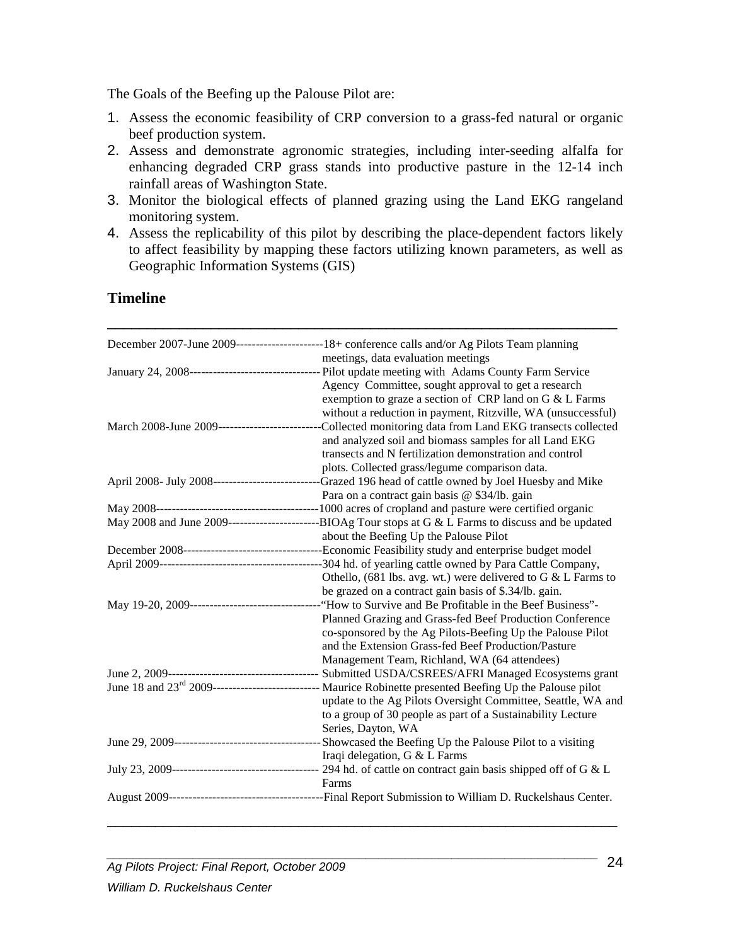The Goals of the Beefing up the Palouse Pilot are:

- 1. Assess the economic feasibility of CRP conversion to a grass-fed natural or organic beef production system.
- 2. Assess and demonstrate agronomic strategies, including inter-seeding alfalfa for enhancing degraded CRP grass stands into productive pasture in the 12-14 inch rainfall areas of Washington State.
- 3. Monitor the biological effects of planned grazing using the Land EKG rangeland monitoring system.
- 4. Assess the replicability of this pilot by describing the place-dependent factors likely to affect feasibility by mapping these factors utilizing known parameters, as well as Geographic Information Systems (GIS)

#### **Timeline**

|                                               | December 2007-June 2009--------------------------18+ conference calls and/or Ag Pilots Team planning                   |
|-----------------------------------------------|------------------------------------------------------------------------------------------------------------------------|
|                                               | meetings, data evaluation meetings                                                                                     |
|                                               | January 24, 2008---------------------------------- Pilot update meeting with Adams County Farm Service                 |
|                                               | Agency Committee, sought approval to get a research                                                                    |
|                                               | exemption to graze a section of CRP land on G & L Farms                                                                |
|                                               | without a reduction in payment, Ritzville, WA (unsuccessful)                                                           |
| March 2008-June 2009------------------------- | -Collected monitoring data from Land EKG transects collected                                                           |
|                                               | and analyzed soil and biomass samples for all Land EKG                                                                 |
|                                               | transects and N fertilization demonstration and control                                                                |
|                                               | plots. Collected grass/legume comparison data.                                                                         |
|                                               | April 2008- July 2008------------------------------Grazed 196 head of cattle owned by Joel Huesby and Mike             |
|                                               | Para on a contract gain basis @ \$34/lb. gain                                                                          |
|                                               |                                                                                                                        |
|                                               |                                                                                                                        |
|                                               | about the Beefing Up the Palouse Pilot                                                                                 |
|                                               |                                                                                                                        |
|                                               |                                                                                                                        |
|                                               | Othello, (681 lbs. avg. wt.) were delivered to G & L Farms to                                                          |
|                                               | be grazed on a contract gain basis of \$.34/lb. gain.                                                                  |
|                                               |                                                                                                                        |
|                                               | Planned Grazing and Grass-fed Beef Production Conference                                                               |
|                                               | co-sponsored by the Ag Pilots-Beefing Up the Palouse Pilot                                                             |
|                                               | and the Extension Grass-fed Beef Production/Pasture                                                                    |
|                                               | Management Team, Richland, WA (64 attendees)                                                                           |
|                                               |                                                                                                                        |
|                                               | June 18 and 23 <sup>rd</sup> 2009---------------------------- Maurice Robinette presented Beefing Up the Palouse pilot |
|                                               | update to the Ag Pilots Oversight Committee, Seattle, WA and                                                           |
|                                               | to a group of 30 people as part of a Sustainability Lecture                                                            |
|                                               | Series, Dayton, WA                                                                                                     |
|                                               |                                                                                                                        |
|                                               | Iraqi delegation, G & L Farms                                                                                          |
|                                               |                                                                                                                        |
|                                               | Farms                                                                                                                  |
|                                               |                                                                                                                        |
|                                               |                                                                                                                        |

\_\_\_\_\_\_\_\_\_\_\_\_\_\_\_\_\_\_\_\_\_\_\_\_\_\_\_\_\_\_\_\_\_\_\_\_\_\_\_\_\_\_\_\_\_\_\_\_\_\_\_\_\_\_\_\_\_\_\_\_\_\_\_\_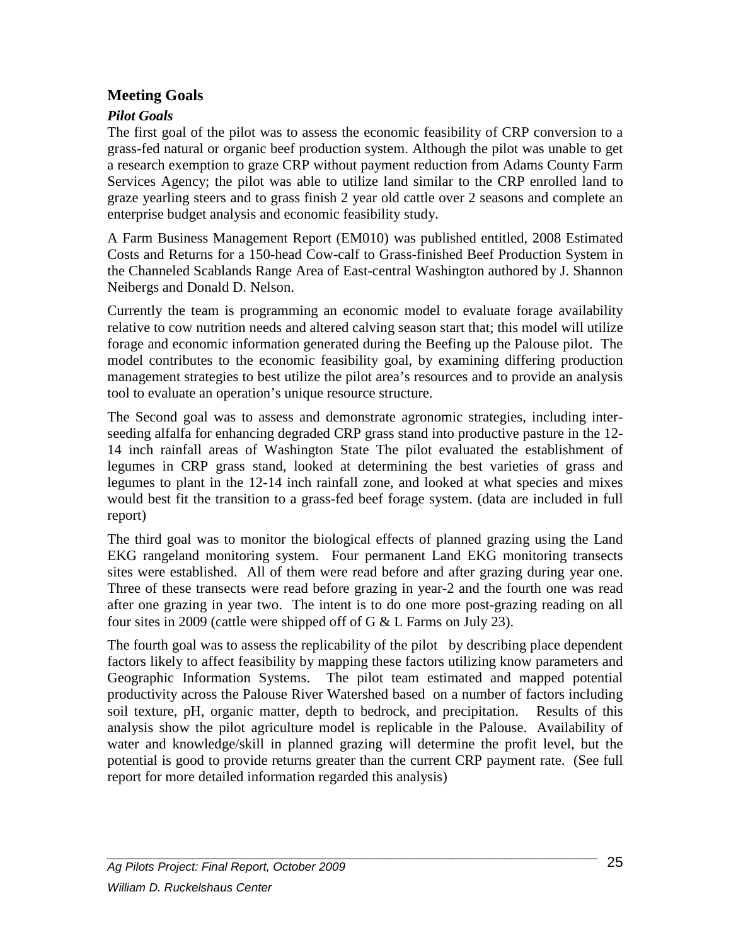#### **Meeting Goals**

#### *Pilot Goals*

The first goal of the pilot was to assess the economic feasibility of CRP conversion to a grass-fed natural or organic beef production system. Although the pilot was unable to get a research exemption to graze CRP without payment reduction from Adams County Farm Services Agency; the pilot was able to utilize land similar to the CRP enrolled land to graze yearling steers and to grass finish 2 year old cattle over 2 seasons and complete an enterprise budget analysis and economic feasibility study.

A Farm Business Management Report (EM010) was published entitled, 2008 Estimated Costs and Returns for a 150-head Cow-calf to Grass-finished Beef Production System in the Channeled Scablands Range Area of East-central Washington authored by J. Shannon Neibergs and Donald D. Nelson.

Currently the team is programming an economic model to evaluate forage availability relative to cow nutrition needs and altered calving season start that; this model will utilize forage and economic information generated during the Beefing up the Palouse pilot. The model contributes to the economic feasibility goal, by examining differing production management strategies to best utilize the pilot area's resources and to provide an analysis tool to evaluate an operation's unique resource structure.

The Second goal was to assess and demonstrate agronomic strategies, including interseeding alfalfa for enhancing degraded CRP grass stand into productive pasture in the 12- 14 inch rainfall areas of Washington State The pilot evaluated the establishment of legumes in CRP grass stand, looked at determining the best varieties of grass and legumes to plant in the 12-14 inch rainfall zone, and looked at what species and mixes would best fit the transition to a grass-fed beef forage system. (data are included in full report)

The third goal was to monitor the biological effects of planned grazing using the Land EKG rangeland monitoring system. Four permanent Land EKG monitoring transects sites were established. All of them were read before and after grazing during year one. Three of these transects were read before grazing in year-2 and the fourth one was read after one grazing in year two. The intent is to do one more post-grazing reading on all four sites in 2009 (cattle were shipped off of G & L Farms on July 23).

The fourth goal was to assess the replicability of the pilot by describing place dependent factors likely to affect feasibility by mapping these factors utilizing know parameters and Geographic Information Systems. The pilot team estimated and mapped potential productivity across the Palouse River Watershed based on a number of factors including soil texture, pH, organic matter, depth to bedrock, and precipitation. Results of this analysis show the pilot agriculture model is replicable in the Palouse. Availability of water and knowledge/skill in planned grazing will determine the profit level, but the potential is good to provide returns greater than the current CRP payment rate. (See full report for more detailed information regarded this analysis)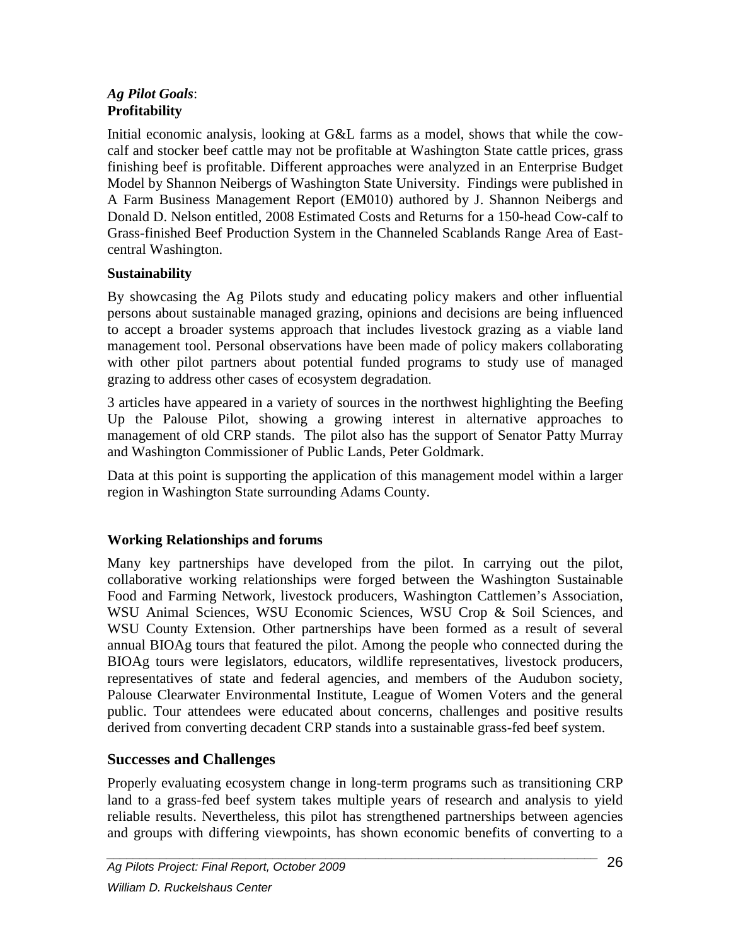#### *Ag Pilot Goals*: **Profitability**

Initial economic analysis, looking at G&L farms as a model, shows that while the cowcalf and stocker beef cattle may not be profitable at Washington State cattle prices, grass finishing beef is profitable. Different approaches were analyzed in an Enterprise Budget Model by Shannon Neibergs of Washington State University. Findings were published in A Farm Business Management Report (EM010) authored by J. Shannon Neibergs and Donald D. Nelson entitled, 2008 Estimated Costs and Returns for a 150-head Cow-calf to Grass-finished Beef Production System in the Channeled Scablands Range Area of Eastcentral Washington.

#### **Sustainability**

By showcasing the Ag Pilots study and educating policy makers and other influential persons about sustainable managed grazing, opinions and decisions are being influenced to accept a broader systems approach that includes livestock grazing as a viable land management tool. Personal observations have been made of policy makers collaborating with other pilot partners about potential funded programs to study use of managed grazing to address other cases of ecosystem degradation.

3 articles have appeared in a variety of sources in the northwest highlighting the Beefing Up the Palouse Pilot, showing a growing interest in alternative approaches to management of old CRP stands. The pilot also has the support of Senator Patty Murray and Washington Commissioner of Public Lands, Peter Goldmark.

Data at this point is supporting the application of this management model within a larger region in Washington State surrounding Adams County.

## **Working Relationships and forums**

Many key partnerships have developed from the pilot. In carrying out the pilot, collaborative working relationships were forged between the Washington Sustainable Food and Farming Network, livestock producers, Washington Cattlemen's Association, WSU Animal Sciences, WSU Economic Sciences, WSU Crop & Soil Sciences, and WSU County Extension. Other partnerships have been formed as a result of several annual BIOAg tours that featured the pilot. Among the people who connected during the BIOAg tours were legislators, educators, wildlife representatives, livestock producers, representatives of state and federal agencies, and members of the Audubon society, Palouse Clearwater Environmental Institute, League of Women Voters and the general public. Tour attendees were educated about concerns, challenges and positive results derived from converting decadent CRP stands into a sustainable grass-fed beef system.

## **Successes and Challenges**

Properly evaluating ecosystem change in long-term programs such as transitioning CRP land to a grass-fed beef system takes multiple years of research and analysis to yield reliable results. Nevertheless, this pilot has strengthened partnerships between agencies and groups with differing viewpoints, has shown economic benefits of converting to a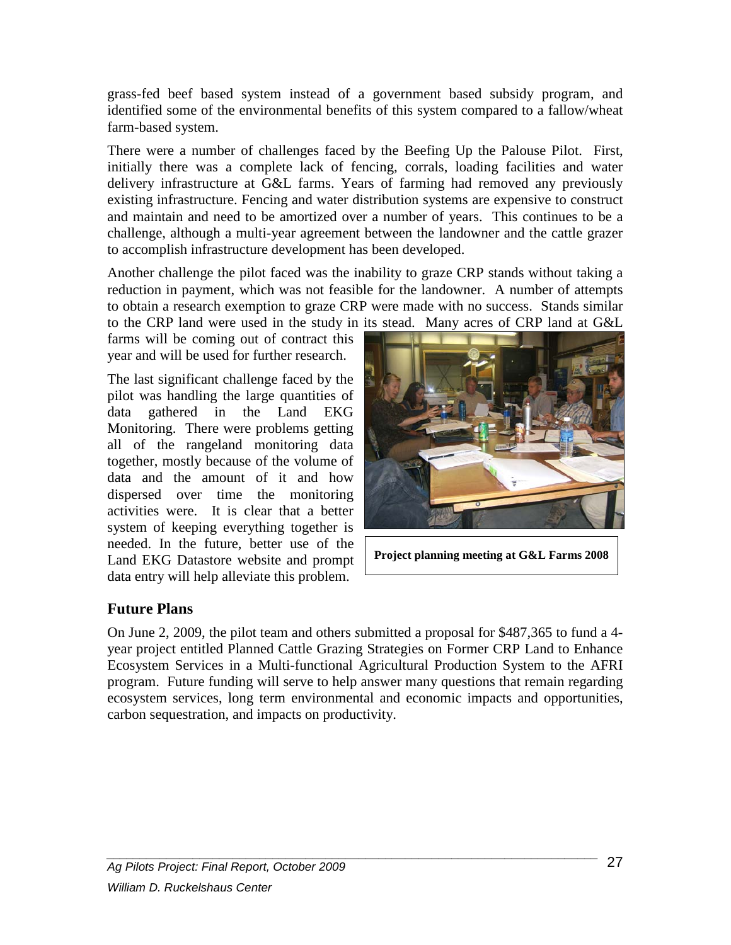grass-fed beef based system instead of a government based subsidy program, and identified some of the environmental benefits of this system compared to a fallow/wheat farm-based system.

There were a number of challenges faced by the Beefing Up the Palouse Pilot. First, initially there was a complete lack of fencing, corrals, loading facilities and water delivery infrastructure at G&L farms. Years of farming had removed any previously existing infrastructure. Fencing and water distribution systems are expensive to construct and maintain and need to be amortized over a number of years. This continues to be a challenge, although a multi-year agreement between the landowner and the cattle grazer to accomplish infrastructure development has been developed.

Another challenge the pilot faced was the inability to graze CRP stands without taking a reduction in payment, which was not feasible for the landowner. A number of attempts to obtain a research exemption to graze CRP were made with no success. Stands similar to the CRP land were used in the study in its stead. Many acres of CRP land at G&L

farms will be coming out of contract this year and will be used for further research.

The last significant challenge faced by the pilot was handling the large quantities of data gathered in the Land EKG Monitoring. There were problems getting all of the rangeland monitoring data together, mostly because of the volume of data and the amount of it and how dispersed over time the monitoring activities were. It is clear that a better system of keeping everything together is needed. In the future, better use of the Land EKG Datastore website and prompt data entry will help alleviate this problem.



**Project planning meeting at G&L Farms 2008**

## **Future Plans**

<span id="page-27-0"></span>On June 2, 2009, the pilot team and others *s*ubmitted a proposal for \$487,365 to fund a 4 year project entitled Planned Cattle Grazing Strategies on Former CRP Land to Enhance Ecosystem Services in a Multi-functional Agricultural Production System to the AFRI program. Future funding will serve to help answer many questions that remain regarding ecosystem services, long term environmental and economic impacts and opportunities, carbon sequestration, and impacts on productivity.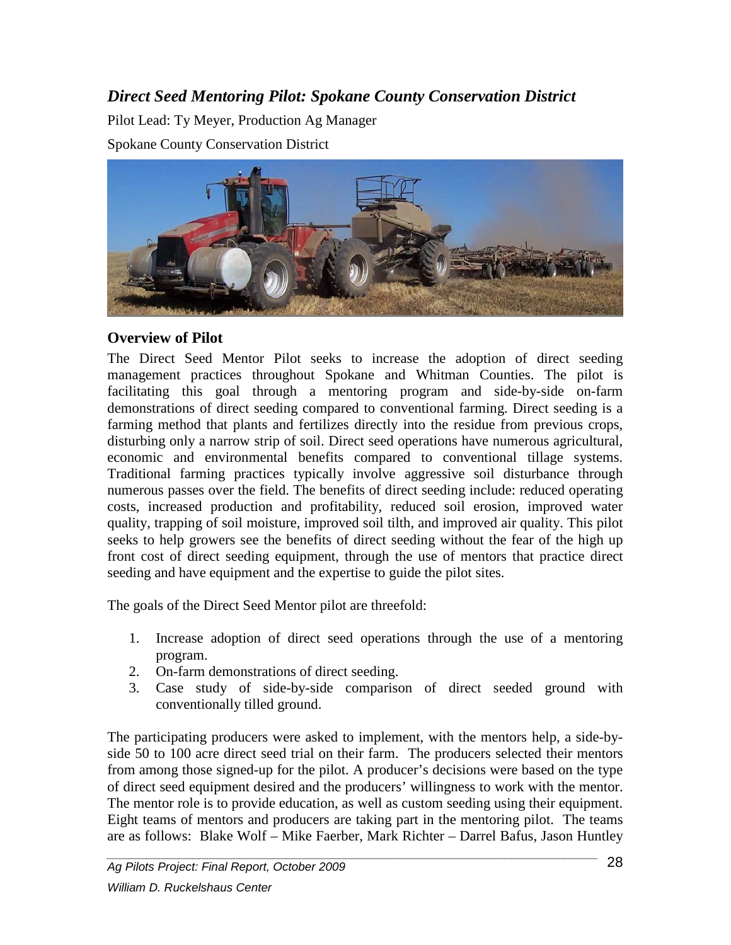# *Direct Seed Mentoring Pilot: Spokane County Conservation District*

Pilot Lead: Ty Meyer, Production Ag Manager Spokane County Conservation District



#### **Overview of Pilot**

The Direct Seed Mentor Pilot seeks to increase the adoption of direct seeding management practices throughout Spokane and Whitman Counties. The pilot is facilitating this goal through a mentoring program and side-by-side on-farm demonstrations of direct seeding compared to conventional farming. Direct seeding is a farming method that plants and fertilizes directly into the residue from previous crops, disturbing only a narrow strip of soil. Direct seed operations have numerous agricultural, economic and environmental benefits compared to conventional tillage systems. Traditional farming practices typically involve aggressive soil disturbance through numerous passes over the field. The benefits of direct seeding include: reduced operating costs, increased production and profitability, reduced soil erosion, improved water quality, trapping of soil moisture, improved soil tilth, and improved air quality. This pilot seeks to help growers see the benefits of direct seeding without the fear of the high up front cost of direct seeding equipment, through the use of mentors that practice direct seeding and have equipment and the expertise to guide the pilot sites.

The goals of the Direct Seed Mentor pilot are threefold:

- 1. Increase adoption of direct seed operations through the use of a mentoring program.
- 2. On-farm demonstrations of direct seeding.
- 3. Case study of side-by-side comparison of direct seeded ground with conventionally tilled ground.

The participating producers were asked to implement, with the mentors help, a side-byside 50 to 100 acre direct seed trial on their farm. The producers selected their mentors from among those signed-up for the pilot. A producer's decisions were based on the type of direct seed equipment desired and the producers' willingness to work with the mentor. The mentor role is to provide education, as well as custom seeding using their equipment. Eight teams of mentors and producers are taking part in the mentoring pilot. The teams are as follows: Blake Wolf – Mike Faerber, Mark Richter – Darrel Bafus, Jason Huntley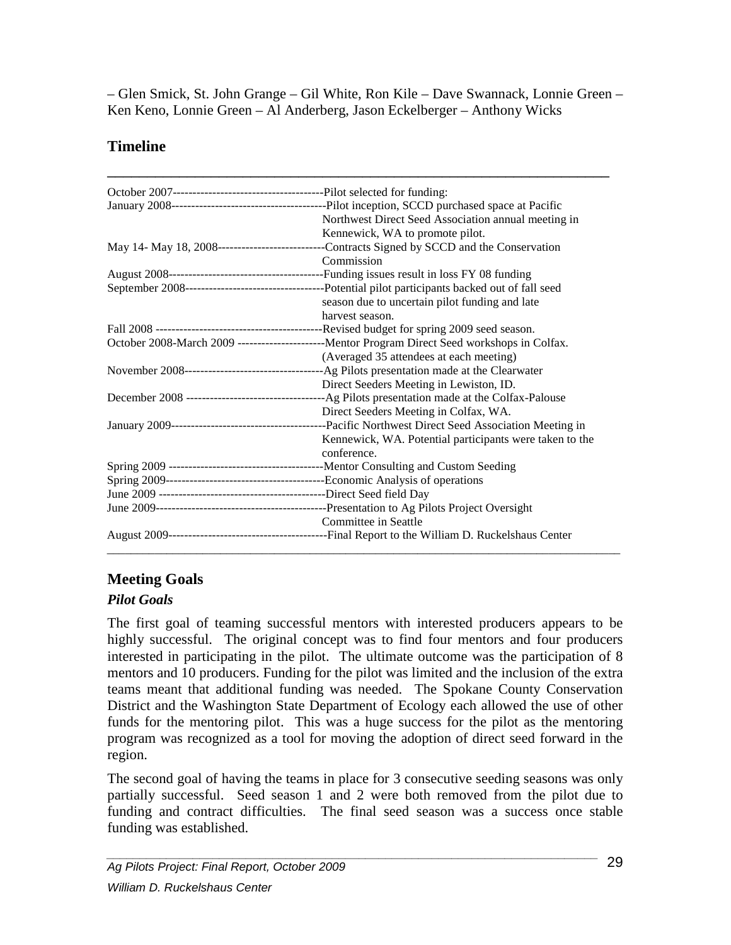– Glen Smick, St. John Grange – Gil White, Ron Kile – Dave Swannack, Lonnie Green – Ken Keno, Lonnie Green – Al Anderberg, Jason Eckelberger – Anthony Wicks

# **Timeline**

| Northwest Direct Seed Association annual meeting in                                             |  |  |
|-------------------------------------------------------------------------------------------------|--|--|
| Kennewick, WA to promote pilot.                                                                 |  |  |
|                                                                                                 |  |  |
| Commission                                                                                      |  |  |
|                                                                                                 |  |  |
|                                                                                                 |  |  |
| season due to uncertain pilot funding and late                                                  |  |  |
| harvest season.                                                                                 |  |  |
|                                                                                                 |  |  |
| October 2008-March 2009 ------------------------Mentor Program Direct Seed workshops in Colfax. |  |  |
| (Averaged 35 attendees at each meeting)                                                         |  |  |
|                                                                                                 |  |  |
| Direct Seeders Meeting in Lewiston, ID.                                                         |  |  |
|                                                                                                 |  |  |
| Direct Seeders Meeting in Colfax, WA.                                                           |  |  |
|                                                                                                 |  |  |
| Kennewick, WA. Potential participants were taken to the                                         |  |  |
| conference.                                                                                     |  |  |
|                                                                                                 |  |  |
|                                                                                                 |  |  |
|                                                                                                 |  |  |
|                                                                                                 |  |  |
| Committee in Seattle                                                                            |  |  |
|                                                                                                 |  |  |

# **Meeting Goals**

## *Pilot Goals*

The first goal of teaming successful mentors with interested producers appears to be highly successful. The original concept was to find four mentors and four producers interested in participating in the pilot. The ultimate outcome was the participation of 8 mentors and 10 producers. Funding for the pilot was limited and the inclusion of the extra teams meant that additional funding was needed. The Spokane County Conservation District and the Washington State Department of Ecology each allowed the use of other funds for the mentoring pilot. This was a huge success for the pilot as the mentoring program was recognized as a tool for moving the adoption of direct seed forward in the region.

The second goal of having the teams in place for 3 consecutive seeding seasons was only partially successful. Seed season 1 and 2 were both removed from the pilot due to funding and contract difficulties. The final seed season was a success once stable funding was established.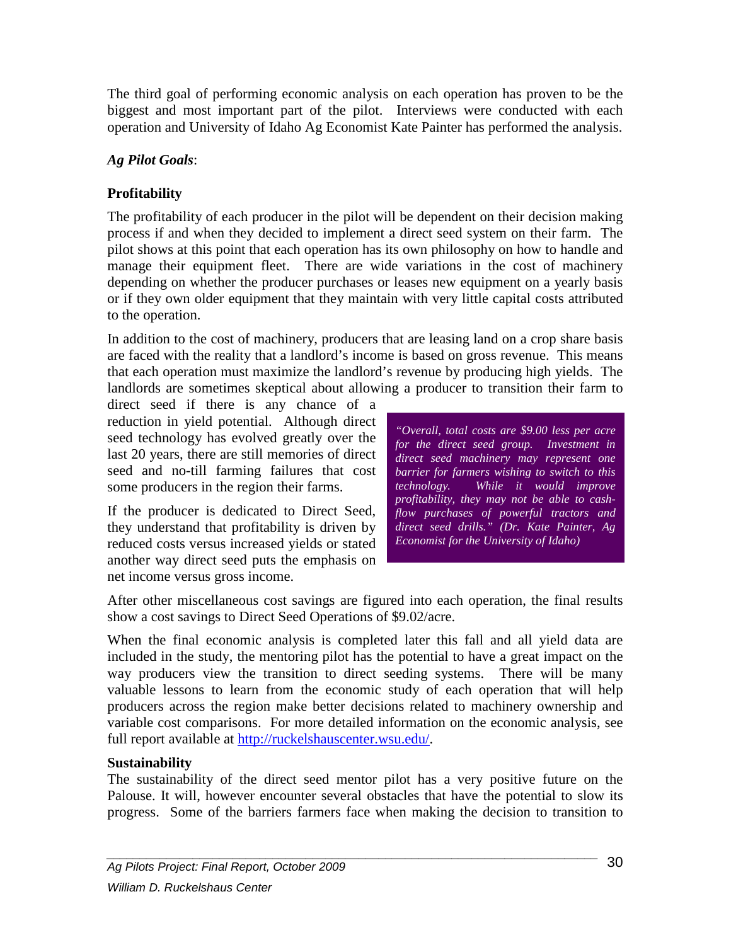The third goal of performing economic analysis on each operation has proven to be the biggest and most important part of the pilot. Interviews were conducted with each operation and University of Idaho Ag Economist Kate Painter has performed the analysis.

#### *Ag Pilot Goals*:

# **Profitability**

The profitability of each producer in the pilot will be dependent on their decision making process if and when they decided to implement a direct seed system on their farm. The pilot shows at this point that each operation has its own philosophy on how to handle and manage their equipment fleet. There are wide variations in the cost of machinery depending on whether the producer purchases or leases new equipment on a yearly basis or if they own older equipment that they maintain with very little capital costs attributed to the operation.

In addition to the cost of machinery, producers that are leasing land on a crop share basis are faced with the reality that a landlord's income is based on gross revenue. This means that each operation must maximize the landlord's revenue by producing high yields. The landlords are sometimes skeptical about allowing a producer to transition their farm to

direct seed if there is any chance of a reduction in yield potential. Although direct seed technology has evolved greatly over the last 20 years, there are still memories of direct seed and no-till farming failures that cost some producers in the region their farms.

If the producer is dedicated to Direct Seed, they understand that profitability is driven by reduced costs versus increased yields or stated another way direct seed puts the emphasis on net income versus gross income.

*"Overall, total costs are \$9.00 less per acre for the direct seed group. Investment in direct seed machinery may represent one barrier for farmers wishing to switch to this technology. While it would improve profitability, they may not be able to cashflow purchases of powerful tractors and direct seed drills." (Dr. Kate Painter, Ag Economist for the University of Idaho)*

After other miscellaneous cost savings are figured into each operation, the final results show a cost savings to Direct Seed Operations of \$9.02/acre.

When the final economic analysis is completed later this fall and all yield data are included in the study, the mentoring pilot has the potential to have a great impact on the way producers view the transition to direct seeding systems. There will be many valuable lessons to learn from the economic study of each operation that will help producers across the region make better decisions related to machinery ownership and variable cost comparisons. For more detailed information on the economic analysis, see full report available at [http://ruckelshauscenter.wsu.edu/.](http://ruckelshauscenter.wsu.edu/)

#### **Sustainability**

The sustainability of the direct seed mentor pilot has a very positive future on the Palouse. It will, however encounter several obstacles that have the potential to slow its progress. Some of the barriers farmers face when making the decision to transition to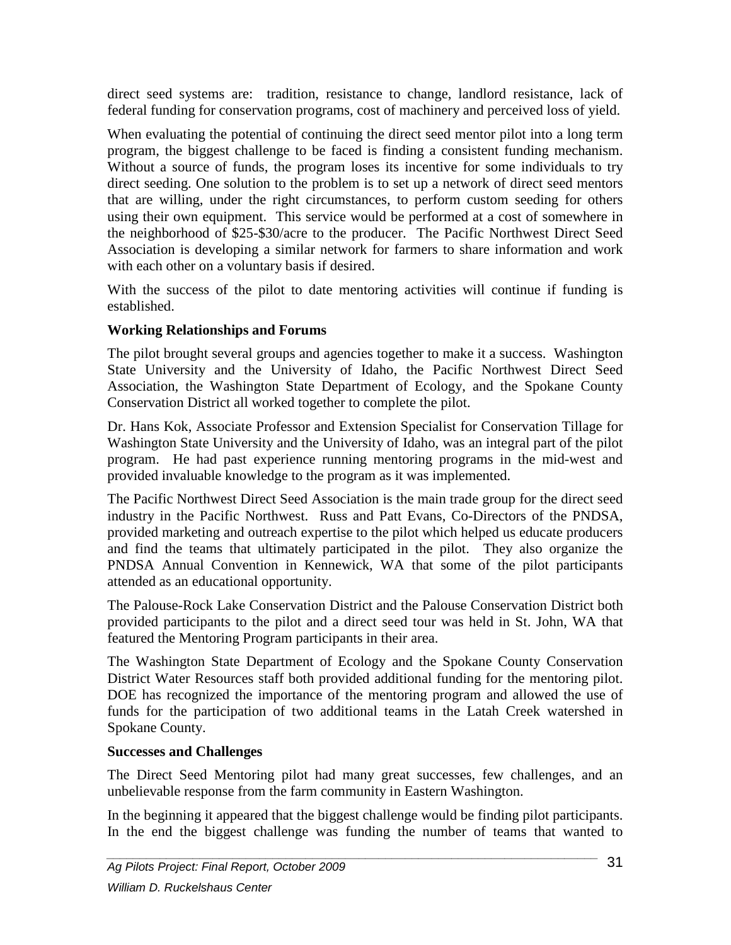direct seed systems are: tradition, resistance to change, landlord resistance, lack of federal funding for conservation programs, cost of machinery and perceived loss of yield.

When evaluating the potential of continuing the direct seed mentor pilot into a long term program, the biggest challenge to be faced is finding a consistent funding mechanism. Without a source of funds, the program loses its incentive for some individuals to try direct seeding. One solution to the problem is to set up a network of direct seed mentors that are willing, under the right circumstances, to perform custom seeding for others using their own equipment. This service would be performed at a cost of somewhere in the neighborhood of \$25-\$30/acre to the producer. The Pacific Northwest Direct Seed Association is developing a similar network for farmers to share information and work with each other on a voluntary basis if desired.

With the success of the pilot to date mentoring activities will continue if funding is established.

#### **Working Relationships and Forums**

The pilot brought several groups and agencies together to make it a success. Washington State University and the University of Idaho, the Pacific Northwest Direct Seed Association, the Washington State Department of Ecology, and the Spokane County Conservation District all worked together to complete the pilot.

Dr. Hans Kok, Associate Professor and Extension Specialist for Conservation Tillage for Washington State University and the University of Idaho, was an integral part of the pilot program. He had past experience running mentoring programs in the mid-west and provided invaluable knowledge to the program as it was implemented.

The Pacific Northwest Direct Seed Association is the main trade group for the direct seed industry in the Pacific Northwest. Russ and Patt Evans, Co-Directors of the PNDSA, provided marketing and outreach expertise to the pilot which helped us educate producers and find the teams that ultimately participated in the pilot. They also organize the PNDSA Annual Convention in Kennewick, WA that some of the pilot participants attended as an educational opportunity.

The Palouse-Rock Lake Conservation District and the Palouse Conservation District both provided participants to the pilot and a direct seed tour was held in St. John, WA that featured the Mentoring Program participants in their area.

The Washington State Department of Ecology and the Spokane County Conservation District Water Resources staff both provided additional funding for the mentoring pilot. DOE has recognized the importance of the mentoring program and allowed the use of funds for the participation of two additional teams in the Latah Creek watershed in Spokane County.

#### **Successes and Challenges**

The Direct Seed Mentoring pilot had many great successes, few challenges, and an unbelievable response from the farm community in Eastern Washington.

In the beginning it appeared that the biggest challenge would be finding pilot participants. In the end the biggest challenge was funding the number of teams that wanted to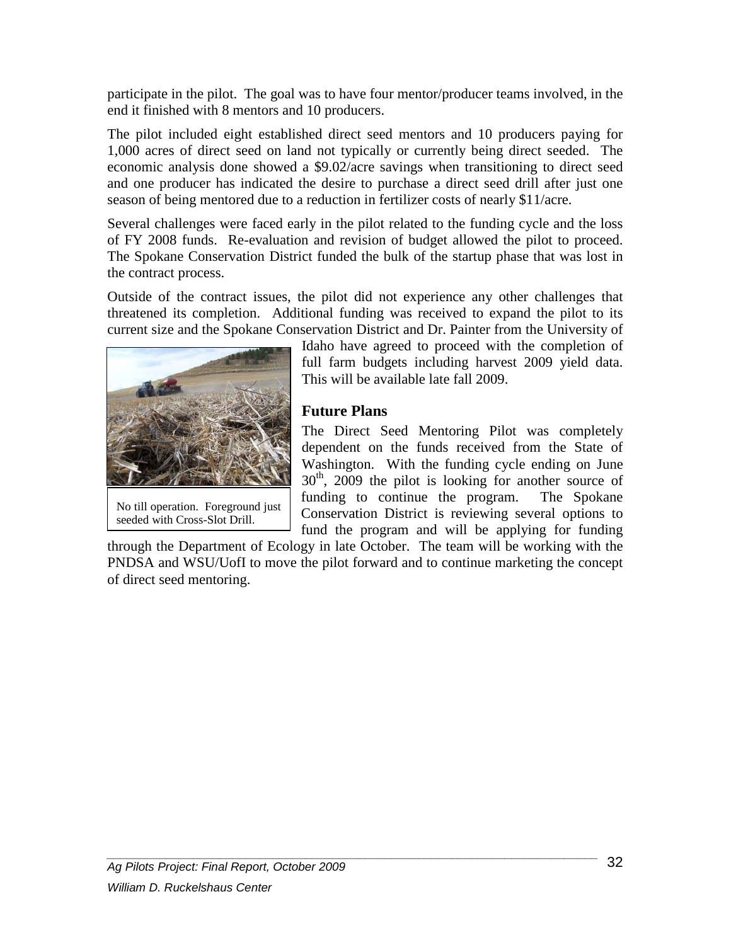participate in the pilot. The goal was to have four mentor/producer teams involved, in the end it finished with 8 mentors and 10 producers.

The pilot included eight established direct seed mentors and 10 producers paying for 1,000 acres of direct seed on land not typically or currently being direct seeded. The economic analysis done showed a \$9.02/acre savings when transitioning to direct seed and one producer has indicated the desire to purchase a direct seed drill after just one season of being mentored due to a reduction in fertilizer costs of nearly \$11/acre.

Several challenges were faced early in the pilot related to the funding cycle and the loss of FY 2008 funds. Re-evaluation and revision of budget allowed the pilot to proceed. The Spokane Conservation District funded the bulk of the startup phase that was lost in the contract process.

Outside of the contract issues, the pilot did not experience any other challenges that threatened its completion. Additional funding was received to expand the pilot to its current size and the Spokane Conservation District and Dr. Painter from the University of



No till operation. Foreground just seeded with Cross-Slot Drill.

Idaho have agreed to proceed with the completion of full farm budgets including harvest 2009 yield data. This will be available late fall 2009.

#### **Future Plans**

The Direct Seed Mentoring Pilot was completely dependent on the funds received from the State of Washington. With the funding cycle ending on June  $30<sup>th</sup>$ , 2009 the pilot is looking for another source of funding to continue the program. The Spokane Conservation District is reviewing several options to fund the program and will be applying for funding

through the Department of Ecology in late October. The team will be working with the PNDSA and WSU/UofI to move the pilot forward and to continue marketing the concept of direct seed mentoring.